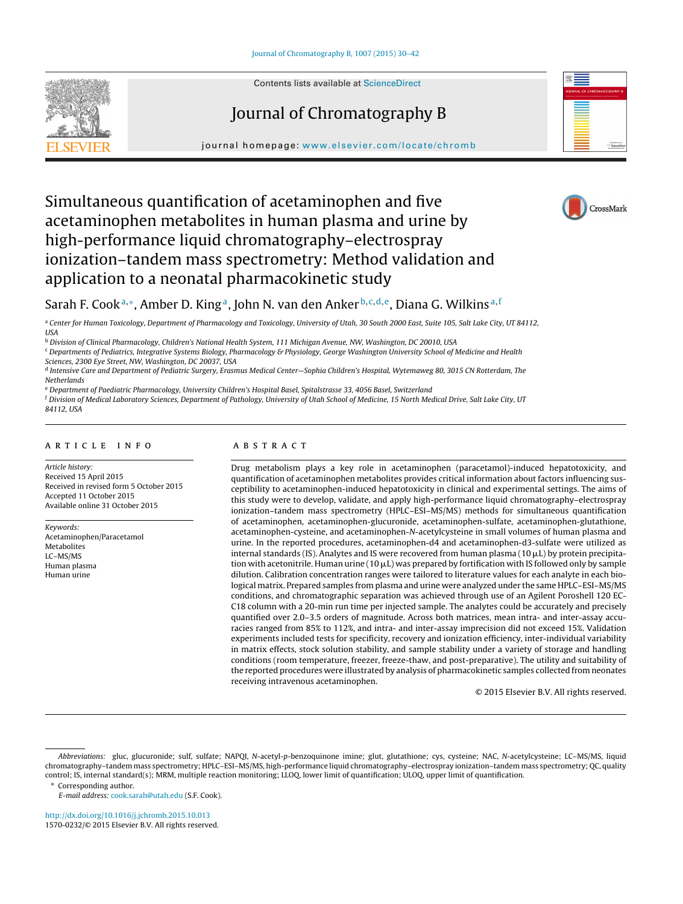

# Journal of Chromatography B



journal homepage: [www.elsevier.com/locate/chromb](http://www.elsevier.com/locate/chromb)

# Simultaneous quantification of acetaminophen and five acetaminophen metabolites in human plasma and urine by high-performance liquid chromatography–electrospray ionization–tandem mass spectrometry: Method validation and application to a neonatal pharmacokinetic study



# Sarah F. Cook<sup>a,∗</sup>, Amber D. King<sup>a</sup>, John N. van den Anker<sup>b,c,d,e</sup>, Diana G. Wilkins<sup>a, f</sup>

a Center for Human Toxicology, Department of Pharmacology and Toxicology, University of Utah, 30 South 2000 East, Suite 105, Salt Lake City, UT 84112, **USA** 

<sup>b</sup> Division of Clinical Pharmacology, Children's National Health System, 111 Michigan Avenue, NW, Washington, DC 20010, USA

<sup>c</sup> Departments of Pediatrics, Integrative Systems Biology, Pharmacology & Physiology, George Washington University School of Medicine and Health Sciences, 2300 Eye Street, NW, Washington, DC 20037, USA

<sup>d</sup> Intensive Care and Department of Pediatric Surgery, Erasmus Medical Center—Sophia Children's Hospital, Wytemaweg 80, 3015 CN Rotterdam, The **Netherlands** 

<sup>e</sup> Department of Paediatric Pharmacology, University Children's Hospital Basel, Spitalstrasse 33, 4056 Basel, Switzerland

<sup>f</sup> Division of Medical Laboratory Sciences, Department of Pathology, University of Utah School of Medicine, 15 North Medical Drive, Salt Lake City, UT 84112, USA

# a r t i c l e i n f o

Article history: Received 15 April 2015 Received in revised form 5 October 2015 Accepted 11 October 2015 Available online 31 October 2015

Keywords: Acetaminophen/Paracetamol Metabolites LC–MS/MS Human plasma Human urine

# A B S T R A C T

Drug metabolism plays a key role in acetaminophen (paracetamol)-induced hepatotoxicity, and quantification of acetaminophen metabolites provides critical information about factors influencing susceptibility to acetaminophen-induced hepatotoxicity in clinical and experimental settings. The aims of this study were to develop, validate, and apply high-performance liquid chromatography–electrospray ionization–tandem mass spectrometry (HPLC–ESI–MS/MS) methods for simultaneous quantification of acetaminophen, acetaminophen-glucuronide, acetaminophen-sulfate, acetaminophen-glutathione, acetaminophen-cysteine, and acetaminophen-N-acetylcysteine in small volumes of human plasma and urine. In the reported procedures, acetaminophen-d4 and acetaminophen-d3-sulfate were utilized as internal standards (IS). Analytes and IS were recovered from human plasma (10  $\mu$ L) by protein precipitation with acetonitrile. Human urine (10  $\mu$ L) was prepared by fortification with IS followed only by sample dilution. Calibration concentration ranges were tailored to literature values for each analyte in each biological matrix. Prepared samples from plasma and urine were analyzed under the same HPLC–ESI–MS/MS conditions, and chromatographic separation was achieved through use of an Agilent Poroshell 120 EC-C18 column with a 20-min run time per injected sample. The analytes could be accurately and precisely quantified over 2.0–3.5 orders of magnitude. Across both matrices, mean intra- and inter-assay accuracies ranged from 85% to 112%, and intra- and inter-assay imprecision did not exceed 15%. Validation experiments included tests for specificity, recovery and ionization efficiency, inter-individual variability in matrix effects, stock solution stability, and sample stability under a variety of storage and handling conditions (room temperature, freezer, freeze-thaw, and post-preparative). The utility and suitability of the reported procedures were illustrated by analysis of pharmacokinetic samples collected from neonates receiving intravenous acetaminophen.

© 2015 Elsevier B.V. All rights reserved.

∗ Corresponding author.

E-mail address: [cook.sarah@utah.edu](mailto:cook.sarah@utah.edu) (S.F. Cook).

[http://dx.doi.org/10.1016/j.jchromb.2015.10.013](dx.doi.org/10.1016/j.jchromb.2015.10.013) 1570-0232/© 2015 Elsevier B.V. All rights reserved.

Abbreviations: gluc, glucuronide; sulf, sulfate; NAPQI, N-acetyl-p-benzoquinone imine; glut, glutathione; cys, cysteine; NAC, N-acetylcysteine; LC–MS/MS, liquid chromatography–tandem mass spectrometry; HPLC–ESI–MS/MS, high-performance liquid chromatography–electrospray ionization–tandem mass spectrometry; QC, quality control; IS, internal standard(s); MRM, multiple reaction monitoring; LLOQ, lower limit of quantification; ULOQ, upper limit of quantification.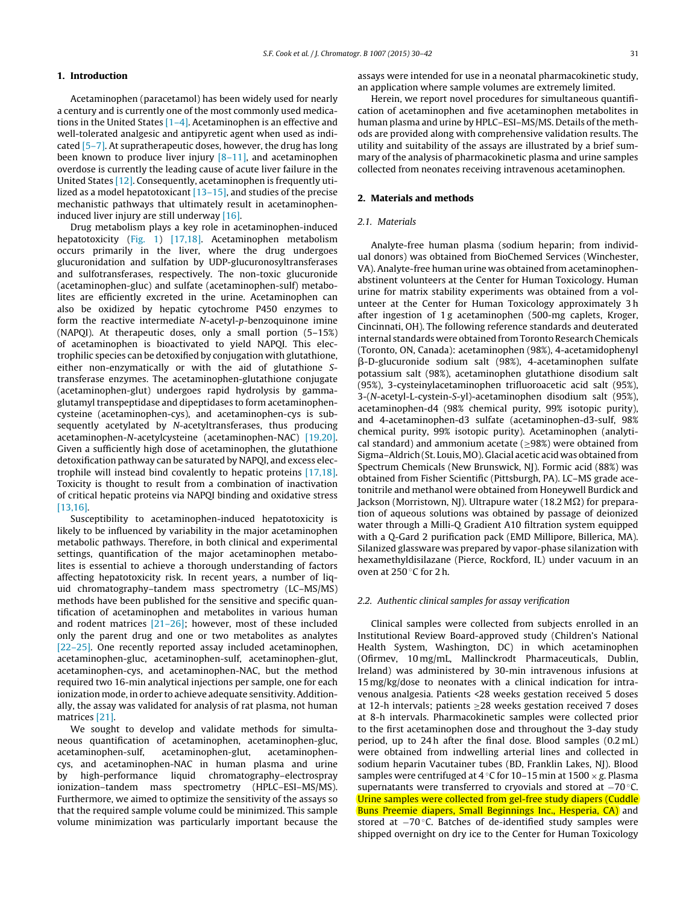# **1. Introduction**

Acetaminophen (paracetamol) has been widely used for nearly a century and is currently one of the most commonly used medications in the United States [\[1–4\].](#page-11-0) Acetaminophen is an effective and well-tolerated analgesic and antipyretic agent when used as indicated [\[5–7\].](#page-11-0) At supratherapeutic doses, however, the drug has long been known to produce liver injury  $[8-11]$ , and acetaminophen overdose is currently the leading cause of acute liver failure in the United States [\[12\].](#page-11-0) Consequently, acetaminophen is frequently utilized as a model hepatotoxicant [13-15], and studies of the precise mechanistic pathways that ultimately result in acetaminopheninduced liver injury are still underway [\[16\].](#page-11-0)

Drug metabolism plays a key role in acetaminophen-induced hepatotoxicity ([Fig.](#page-2-0) 1) [\[17,18\].](#page-11-0) Acetaminophen metabolism occurs primarily in the liver, where the drug undergoes glucuronidation and sulfation by UDP-glucuronosyltransferases and sulfotransferases, respectively. The non-toxic glucuronide (acetaminophen-gluc) and sulfate (acetaminophen-sulf) metabolites are efficiently excreted in the urine. Acetaminophen can also be oxidized by hepatic cytochrome P450 enzymes to form the reactive intermediate N-acetyl-p-benzoquinone imine (NAPQI). At therapeutic doses, only a small portion (5–15%) of acetaminophen is bioactivated to yield NAPQI. This electrophilic species can be detoxified by conjugation with glutathione, either non-enzymatically or with the aid of glutathione Stransferase enzymes. The acetaminophen-glutathione conjugate (acetaminophen-glut) undergoes rapid hydrolysis by gammaglutamyl transpeptidase and dipeptidases to form acetaminophencysteine (acetaminophen-cys), and acetaminophen-cys is subsequently acetylated by N-acetyltransferases, thus producing acetaminophen-N-acetylcysteine (acetaminophen-NAC) [\[19,20\].](#page-11-0) Given a sufficiently high dose of acetaminophen, the glutathione detoxification pathway can be saturated by NAPQI, and excess electrophile will instead bind covalently to hepatic proteins [\[17,18\].](#page-11-0) Toxicity is thought to result from a combination of inactivation of critical hepatic proteins via NAPQI binding and oxidative stress [\[13,16\].](#page-11-0)

Susceptibility to acetaminophen-induced hepatotoxicity is likely to be influenced by variability in the major acetaminophen metabolic pathways. Therefore, in both clinical and experimental settings, quantification of the major acetaminophen metabolites is essential to achieve a thorough understanding of factors affecting hepatotoxicity risk. In recent years, a number of liquid chromatography–tandem mass spectrometry (LC–MS/MS) methods have been published for the sensitive and specific quantification of acetaminophen and metabolites in various human and rodent matrices [\[21–26\];](#page-12-0) however, most of these included only the parent drug and one or two metabolites as analytes [\[22–25\].](#page-12-0) One recently reported assay included acetaminophen, acetaminophen-gluc, acetaminophen-sulf, acetaminophen-glut, acetaminophen-cys, and acetaminophen-NAC, but the method required two 16-min analytical injections per sample, one for each ionization mode, in order to achieve adequate sensitivity. Additionally, the assay was validated for analysis of rat plasma, not human matrices [\[21\].](#page-12-0)

We sought to develop and validate methods for simultaneous quantification of acetaminophen, acetaminophen-gluc, acetaminophen-sulf, acetaminophen-glut, acetaminophencys, and acetaminophen-NAC in human plasma and urine by high-performance liquid chromatography–electrospray ionization–tandem mass spectrometry (HPLC–ESI–MS/MS). Furthermore, we aimed to optimize the sensitivity of the assays so that the required sample volume could be minimized. This sample volume minimization was particularly important because the assays were intended for use in a neonatal pharmacokinetic study, an application where sample volumes are extremely limited.

Herein, we report novel procedures for simultaneous quantification of acetaminophen and five acetaminophen metabolites in human plasma and urine by HPLC-ESI-MS/MS. Details of the methods are provided along with comprehensive validation results. The utility and suitability of the assays are illustrated by a brief summary of the analysis of pharmacokinetic plasma and urine samples collected from neonates receiving intravenous acetaminophen.

# **2. Materials and methods**

#### 2.1. Materials

Analyte-free human plasma (sodium heparin; from individual donors) was obtained from BioChemed Services (Winchester, VA). Analyte-free human urine was obtained from acetaminophenabstinent volunteers at the Center for Human Toxicology. Human urine for matrix stability experiments was obtained from a volunteer at the Center for Human Toxicology approximately 3 h after ingestion of 1 g acetaminophen (500-mg caplets, Kroger, Cincinnati, OH). The following reference standards and deuterated internal standards were obtained from Toronto Research Chemicals (Toronto, ON, Canada): acetaminophen (98%), 4-acetamidophenyl -D-glucuronide sodium salt (98%), 4-acetaminophen sulfate potassium salt (98%), acetaminophen glutathione disodium salt (95%), 3-cysteinylacetaminophen trifluoroacetic acid salt (95%), 3-(N-acetyl-L-cystein-S-yl)-acetaminophen disodium salt (95%), acetaminophen-d4 (98% chemical purity, 99% isotopic purity), and 4-acetaminophen-d3 sulfate (acetaminophen-d3-sulf, 98% chemical purity, 99% isotopic purity). Acetaminophen (analytical standard) and ammonium acetate ( $\geq$ 98%) were obtained from Sigma–Aldrich (St. Louis,MO). Glacial acetic acid was obtained from Spectrum Chemicals (New Brunswick, NJ). Formic acid (88%) was obtained from Fisher Scientific (Pittsburgh, PA). LC–MS grade acetonitrile and methanol were obtained from Honeywell Burdick and Jackson (Morristown, NJ). Ultrapure water (18.2 M $\Omega$ ) for preparation of aqueous solutions was obtained by passage of deionized water through a Milli-Q Gradient A10 filtration system equipped with a Q-Gard 2 purification pack (EMD Millipore, Billerica, MA). Silanized glassware was prepared by vapor-phase silanization with hexamethyldisilazane (Pierce, Rockford, IL) under vacuum in an oven at 250 ◦C for 2 h.

#### 2.2. Authentic clinical samples for assay verification

Clinical samples were collected from subjects enrolled in an Institutional Review Board-approved study (Children's National Health System, Washington, DC) in which acetaminophen (Ofirmev, 10 mg/mL, Mallinckrodt Pharmaceuticals, Dublin, Ireland) was administered by 30-min intravenous infusions at 15 mg/kg/dose to neonates with a clinical indication for intravenous analgesia. Patients <28 weeks gestation received 5 doses at 12-h intervals; patients  $\geq$  28 weeks gestation received 7 doses at 8-h intervals. Pharmacokinetic samples were collected prior to the first acetaminophen dose and throughout the 3-day study period, up to 24 h after the final dose. Blood samples (0.2 mL) were obtained from indwelling arterial lines and collected in sodium heparin Vacutainer tubes (BD, Franklin Lakes, NJ). Blood samples were centrifuged at 4 °C for 10–15 min at 1500  $\times$  g. Plasma supernatants were transferred to cryovials and stored at −70 °C. Urine samples were collected from gel-free study diapers (Cuddle Buns Preemie diapers, Small Beginnings Inc., Hesperia, CA) and stored at −70 ◦C. Batches of de-identified study samples were shipped overnight on dry ice to the Center for Human Toxicology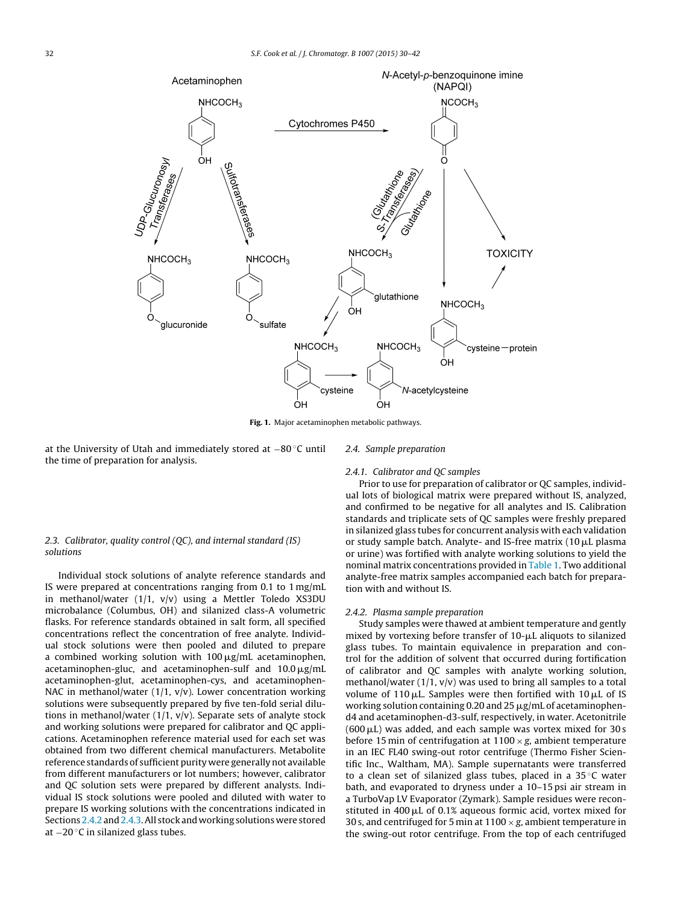<span id="page-2-0"></span>

**Fig. 1.** Major acetaminophen metabolic pathways.

at the University of Utah and immediately stored at −80 ◦C until the time of preparation for analysis.

#### 2.4. Sample preparation

# 2.4.1. Calibrator and QC samples

Prior to use for preparation of calibrator or QC samples, individual lots of biological matrix were prepared without IS, analyzed, and confirmed to be negative for all analytes and IS. Calibration standards and triplicate sets of QC samples were freshly prepared in silanized glass tubes for concurrent analysis with each validation or study sample batch. Analyte- and IS-free matrix (10  $\mu$ L plasma or urine) was fortified with analyte working solutions to yield the nominal matrix concentrations provided in [Table](#page-3-0) 1. Two additional analyte-free matrix samples accompanied each batch for preparation with and without IS.

# 2.4.2. Plasma sample preparation

Study samples were thawed at ambient temperature and gently mixed by vortexing before transfer of  $10$ - $\mu$ L aliquots to silanized glass tubes. To maintain equivalence in preparation and control for the addition of solvent that occurred during fortification of calibrator and QC samples with analyte working solution, methanol/water  $(1/1, v/v)$  was used to bring all samples to a total volume of 110  $\mu$ L. Samples were then fortified with 10  $\mu$ L of IS working solution containing 0.20 and 25  $\mu$ g/mL of acetaminophend4 and acetaminophen-d3-sulf, respectively, in water. Acetonitrile  $(600 \,\mu L)$  was added, and each sample was vortex mixed for 30 s before 15 min of centrifugation at  $1100 \times g$ , ambient temperature in an IEC FL40 swing-out rotor centrifuge (Thermo Fisher Scientific Inc., Waltham, MA). Sample supernatants were transferred to a clean set of silanized glass tubes, placed in a 35 ◦C water bath, and evaporated to dryness under a 10–15 psi air stream in a TurboVap LV Evaporator (Zymark). Sample residues were reconstituted in 400  $\mu$ L of 0.1% aqueous formic acid, vortex mixed for 30 s, and centrifuged for 5 min at  $1100 \times g$ , ambient temperature in the swing-out rotor centrifuge. From the top of each centrifuged

# 2.3. Calibrator, quality control (QC), and internal standard (IS) solutions

Individual stock solutions of analyte reference standards and IS were prepared at concentrations ranging from 0.1 to 1 mg/mL in methanol/water (1/1, v/v) using a Mettler Toledo XS3DU microbalance (Columbus, OH) and silanized class-A volumetric flasks. For reference standards obtained in salt form, all specified concentrations reflect the concentration of free analyte. Individual stock solutions were then pooled and diluted to prepare a combined working solution with 100  $\mu$ g/mL acetaminophen, acetaminophen-gluc, and acetaminophen-sulf and  $10.0\,\rm \mu g/mL$ acetaminophen-glut, acetaminophen-cys, and acetaminophen-NAC in methanol/water  $(1/1, v/v)$ . Lower concentration working solutions were subsequently prepared by five ten-fold serial dilutions in methanol/water  $(1/1, v/v)$ . Separate sets of analyte stock and working solutions were prepared for calibrator and QC applications. Acetaminophen reference material used for each set was obtained from two different chemical manufacturers. Metabolite reference standards of sufficient purity were generally not available from different manufacturers or lot numbers; however, calibrator and QC solution sets were prepared by different analysts. Individual IS stock solutions were pooled and diluted with water to prepare IS working solutions with the concentrations indicated in Sections 2.4.2 and 2.4.3. All stock and working solutions were stored at −20 ◦C in silanized glass tubes.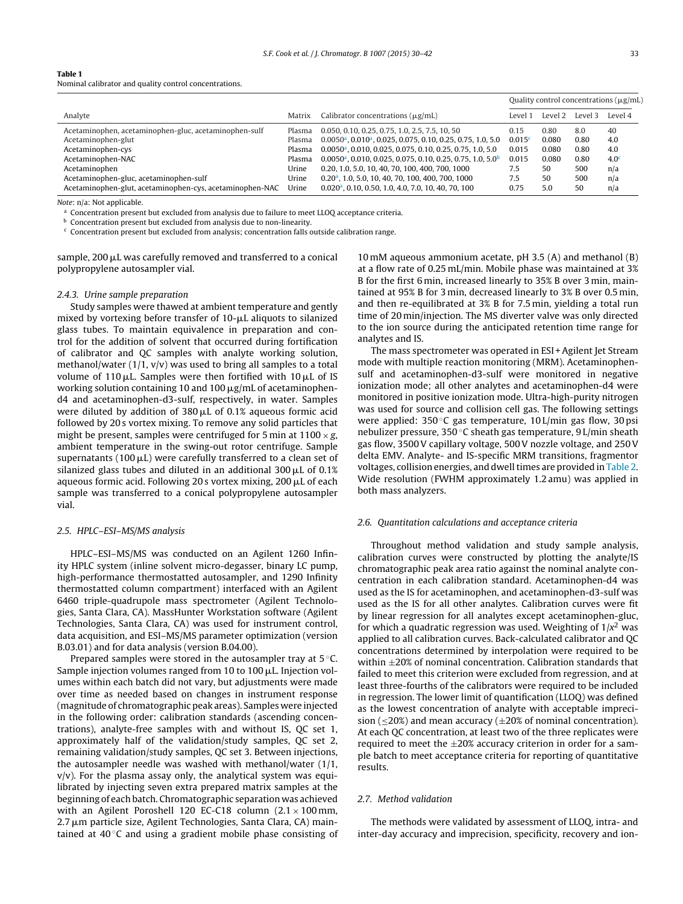<span id="page-3-0"></span>Nominal calibrator and quality control concentrations.

|                                                          |        |                                                                                     | Quality control concentrations $(\mu g/mL)$ |         |         |                  |
|----------------------------------------------------------|--------|-------------------------------------------------------------------------------------|---------------------------------------------|---------|---------|------------------|
| Analyte                                                  | Matrix | Calibrator concentrations $(\mu g/mL)$                                              | Level 1                                     | Level 2 | Level 3 | Level 4          |
| Acetaminophen, acetaminophen-gluc, acetaminophen-sulf    | Plasma | 0.050, 0.10, 0.25, 0.75, 1.0, 2.5, 7.5, 10, 50                                      | 0.15                                        | 0.80    | 8.0     | 40               |
| Acetaminophen-glut                                       | Plasma | $0.0050a$ , $0.010a$ , $0.025$ , $0.075$ , $0.10$ , $0.25$ , $0.75$ , $1.0$ , $5.0$ | 0.015c                                      | 0.080   | 0.80    | 4.0              |
| Acetaminophen-cys                                        | Plasma | $0.0050a$ , 0.010, 0.025, 0.075, 0.10, 0.25, 0.75, 1.0, 5.0                         | 0.015                                       | 0.080   | 0.80    | 4.0              |
| Acetaminophen-NAC                                        | Plasma | $0.0050a$ , 0.010, 0.025, 0.075, 0.10, 0.25, 0.75, 1.0, 5.0 <sup>b</sup>            | 0.015                                       | 0.080   | 0.80    | 4.0 <sup>c</sup> |
| Acetaminophen                                            | Urine  | 0.20, 1.0, 5.0, 10, 40, 70, 100, 400, 700, 1000                                     | 7.5                                         | 50      | 500     | n/a              |
| Acetaminophen-gluc, acetaminophen-sulf                   | Urine  | 0.20 <sup>a</sup> , 1.0, 5.0, 10, 40, 70, 100, 400, 700, 1000                       | 7.5                                         | 50      | 500     | n/a              |
| Acetaminophen-glut, acetaminophen-cys, acetaminophen-NAC | Urine  | 0.020 <sup>a</sup> , 0.10, 0.50, 1.0, 4.0, 7.0, 10, 40, 70, 100                     | 0.75                                        | 5.0     | 50      | n/a              |

Note: n/a: Not applicable.

<sup>a</sup> Concentration present but excluded from analysis due to failure to meet LLOQ acceptance criteria.

**b** Concentration present but excluded from analysis due to non-linearity.

 $c$  Concentration present but excluded from analysis; concentration falls outside calibration range.

sample, 200  $\upmu$ L was carefully removed and transferred to a conical polypropylene autosampler vial.

#### 2.4.3. Urine sample preparation

Study samples were thawed at ambient temperature and gently mixed by vortexing before transfer of  $10\hbox{-}\mu\hbox{L}$  aliquots to silanized glass tubes. To maintain equivalence in preparation and control for the addition of solvent that occurred during fortification of calibrator and QC samples with analyte working solution, methanol/water  $(1/1, v/v)$  was used to bring all samples to a total volume of 110  $\mu$ L. Samples were then fortified with 10  $\mu$ L of IS working solution containing 10 and 100  $\mu$ g/mL of acetaminophend4 and acetaminophen-d3-sulf, respectively, in water. Samples were diluted by addition of 380  $\mu$ L of 0.1% aqueous formic acid followed by 20 s vortex mixing. To remove any solid particles that might be present, samples were centrifuged for 5 min at  $1100 \times g$ , ambient temperature in the swing-out rotor centrifuge. Sample supernatants (100  $\mu$ L) were carefully transferred to a clean set of silanized glass tubes and diluted in an additional 300  $\mu$ L of 0.1% aqueous formic acid. Following 20 s vortex mixing, 200  $\mu$ L of each sample was transferred to a conical polypropylene autosampler vial.

#### 2.5. HPLC–ESI–MS/MS analysis

HPLC–ESI–MS/MS was conducted on an Agilent 1260 Infinity HPLC system (inline solvent micro-degasser, binary LC pump, high-performance thermostatted autosampler, and 1290 Infinity thermostatted column compartment) interfaced with an Agilent 6460 triple-quadrupole mass spectrometer (Agilent Technologies, Santa Clara, CA). MassHunter Workstation software (Agilent Technologies, Santa Clara, CA) was used for instrument control, data acquisition, and ESI–MS/MS parameter optimization (version B.03.01) and for data analysis (version B.04.00).

Prepared samples were stored in the autosampler tray at 5 ◦C. Sample injection volumes ranged from 10 to 100  $\mu$ L. Injection volumes within each batch did not vary, but adjustments were made over time as needed based on changes in instrument response (magnitude of chromatographic peak areas). Samples were injected in the following order: calibration standards (ascending concentrations), analyte-free samples with and without IS, QC set 1, approximately half of the validation/study samples, QC set 2, remaining validation/study samples, QC set 3. Between injections, the autosampler needle was washed with methanol/water (1/1,  $v/v$ ). For the plasma assay only, the analytical system was equilibrated by injecting seven extra prepared matrix samples at the beginning of each batch. Chromatographic separation was achieved with an Agilent Poroshell 120 EC-C18 column  $(2.1 \times 100 \text{ mm})$ , 2.7 µm particle size, Agilent Technologies, Santa Clara, CA) maintained at 40 $\degree$ C and using a gradient mobile phase consisting of

10 mM aqueous ammonium acetate, pH 3.5 (A) and methanol (B) at a flow rate of 0.25 mL/min. Mobile phase was maintained at 3% B for the first 6 min, increased linearly to 35% B over 3 min, maintained at 95% B for 3 min, decreased linearly to 3% B over 0.5 min, and then re-equilibrated at 3% B for 7.5 min, yielding a total run time of 20 min/injection. The MS diverter valve was only directed to the ion source during the anticipated retention time range for analytes and IS.

The mass spectrometer was operated in ESI +Agilent Jet Stream mode with multiple reaction monitoring (MRM). Acetaminophensulf and acetaminophen-d3-sulf were monitored in negative ionization mode; all other analytes and acetaminophen-d4 were monitored in positive ionization mode. Ultra-high-purity nitrogen was used for source and collision cell gas. The following settings were applied:  $350\degree C$  gas temperature,  $10 \text{ L/min}$  gas flow,  $30 \text{ psi}$ nebulizer pressure, 350 ◦C sheath gas temperature, 9 L/min sheath gas flow, 3500V capillary voltage, 500V nozzle voltage, and 250V delta EMV. Analyte- and IS-specific MRM transitions, fragmentor voltages, collision energies, and dwell times are provided in [Table](#page-4-0) 2. Wide resolution (FWHM approximately 1.2 amu) was applied in both mass analyzers.

#### 2.6. Quantitation calculations and acceptance criteria

Throughout method validation and study sample analysis, calibration curves were constructed by plotting the analyte/IS chromatographic peak area ratio against the nominal analyte concentration in each calibration standard. Acetaminophen-d4 was used as the IS for acetaminophen, and acetaminophen-d3-sulf was used as the IS for all other analytes. Calibration curves were fit by linear regression for all analytes except acetaminophen-gluc, for which a quadratic regression was used. Weighting of  $1/x^2$  was applied to all calibration curves. Back-calculated calibrator and QC concentrations determined by interpolation were required to be within ±20% of nominal concentration. Calibration standards that failed to meet this criterion were excluded from regression, and at least three-fourths of the calibrators were required to be included in regression. The lower limit of quantification (LLOQ) was defined as the lowest concentration of analyte with acceptable imprecision ( $\leq$ 20%) and mean accuracy ( $\pm$ 20% of nominal concentration). At each QC concentration, at least two of the three replicates were required to meet the  $\pm 20\%$  accuracy criterion in order for a sample batch to meet acceptance criteria for reporting of quantitative results.

# 2.7. Method validation

The methods were validated by assessment of LLOQ, intra- and inter-day accuracy and imprecision, specificity, recovery and ion-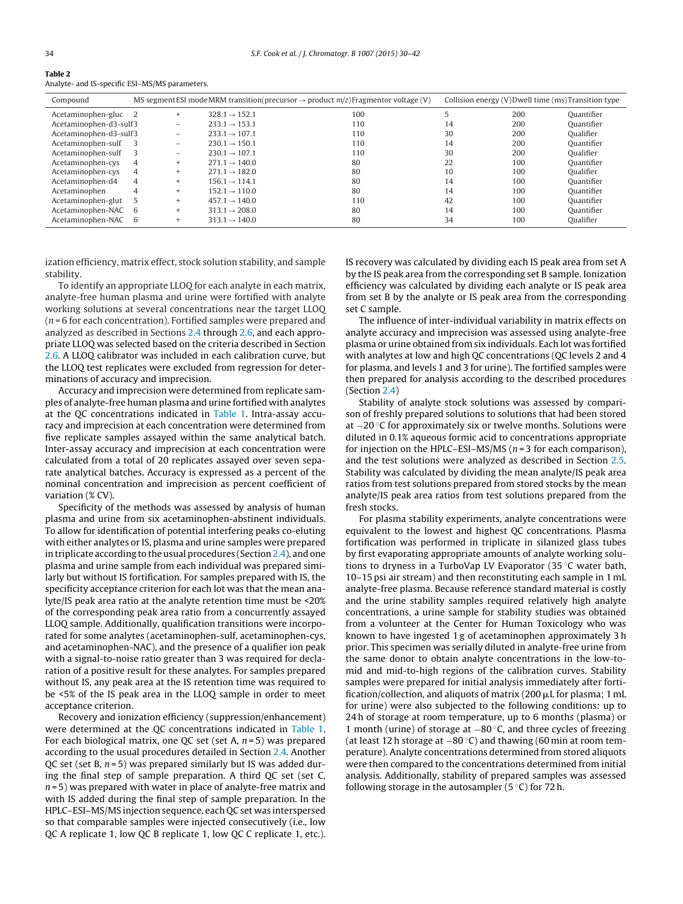<span id="page-4-0"></span>

| Table 2                                        |  |
|------------------------------------------------|--|
| Analyte- and IS-specific ESI-MS/MS parameters. |  |

| Compound               |                |                          |                           | MS segment ESI mode MRM transition (precursor $\rightarrow$ product $m/z$ ) Fragmentor voltage (V) |    | Collision energy (V)Dwell time (ms)Transition type |            |
|------------------------|----------------|--------------------------|---------------------------|----------------------------------------------------------------------------------------------------|----|----------------------------------------------------|------------|
| Acetaminophen-gluc 2   |                | $+$                      | $328.1 \rightarrow 152.1$ | 100                                                                                                |    | 200                                                | Ouantifier |
| Acetaminophen-d3-sulf3 |                | $\equiv$                 | $233.1 \rightarrow 153.1$ | 110                                                                                                | 14 | 200                                                | Ouantifier |
| Acetaminophen-d3-sulf3 |                | $\overline{\phantom{0}}$ | $233.1 \rightarrow 107.1$ | 110                                                                                                | 30 | 200                                                | Oualifier  |
| Acetaminophen-sulf     | - 3            | $\overline{\phantom{0}}$ | $230.1 \rightarrow 150.1$ | 110                                                                                                | 14 | 200                                                | Ouantifier |
| Acetaminophen-sulf     |                | -                        | $230.1 \rightarrow 107.1$ | 110                                                                                                | 30 | 200                                                | Oualifier  |
| Acetaminophen-cys      | 4              | $^{+}$                   | $271.1 \rightarrow 140.0$ | 80                                                                                                 | 22 | 100                                                | Ouantifier |
| Acetaminophen-cys      | 4              | $+$                      | $271.1 \rightarrow 182.0$ | 80                                                                                                 | 10 | 100                                                | Oualifier  |
| Acetaminophen-d4       | $\overline{4}$ | $+$                      | $156.1 \rightarrow 114.1$ | 80                                                                                                 | 14 | 100                                                | Ouantifier |
| Acetaminophen          | 4              | $\ddot{}$                | $152.1 \rightarrow 110.0$ | 80                                                                                                 | 14 | 100                                                | Ouantifier |
| Acetaminophen-glut     |                | $+$                      | $457.1 \rightarrow 140.0$ | 110                                                                                                | 42 | 100                                                | Ouantifier |
| Acetaminophen-NAC      | - 6            | $^{+}$                   | $313.1 \rightarrow 208.0$ | 80                                                                                                 | 14 | 100                                                | Ouantifier |
| Acetaminophen-NAC      | - 6            | $\ddot{}$                | $313.1 \rightarrow 140.0$ | 80                                                                                                 | 34 | 100                                                | Qualifier  |

ization efficiency, matrix effect, stock solution stability, and sample stability.

To identify an appropriate LLOQ for each analyte in each matrix, analyte-free human plasma and urine were fortified with analyte working solutions at several concentrations near the target LLOQ  $(n = 6$  for each concentration). Fortified samples were prepared and analyzed as described in Sections [2.4](#page-2-0) through [2.6,](#page-3-0) and each appropriate LLOQ was selected based on the criteria described in Section [2.6.](#page-3-0) A LLOQ calibrator was included in each calibration curve, but the LLOQ test replicates were excluded from regression for determinations of accuracy and imprecision.

Accuracy and imprecision were determined from replicate samples of analyte-free human plasma and urine fortified with analytes at the QC concentrations indicated in [Table](#page-3-0) 1. Intra-assay accuracy and imprecision at each concentration were determined from five replicate samples assayed within the same analytical batch. Inter-assay accuracy and imprecision at each concentration were calculated from a total of 20 replicates assayed over seven separate analytical batches. Accuracy is expressed as a percent of the nominal concentration and imprecision as percent coefficient of variation (% CV).

Specificity of the methods was assessed by analysis of human plasma and urine from six acetaminophen-abstinent individuals. To allow for identification of potential interfering peaks co-eluting with either analytes or IS, plasma and urine samples were prepared in triplicate according to the usual procedures (Section [2.4\),](#page-2-0) and one plasma and urine sample from each individual was prepared similarly but without IS fortification. For samples prepared with IS, the specificity acceptance criterion for each lot was that the mean analyte/IS peak area ratio at the analyte retention time must be <20% of the corresponding peak area ratio from a concurrently assayed LLOQ sample. Additionally, qualification transitions were incorporated for some analytes (acetaminophen-sulf, acetaminophen-cys, and acetaminophen-NAC), and the presence of a qualifier ion peak with a signal-to-noise ratio greater than 3 was required for declaration of a positive result for these analytes. For samples prepared without IS, any peak area at the IS retention time was required to be <5% of the IS peak area in the LLOQ sample in order to meet acceptance criterion.

Recovery and ionization efficiency (suppression/enhancement) were determined at the QC concentrations indicated in [Table](#page-3-0) 1. For each biological matrix, one QC set (set A,  $n = 5$ ) was prepared according to the usual procedures detailed in Section [2.4.](#page-2-0) Another QC set (set B,  $n = 5$ ) was prepared similarly but IS was added during the final step of sample preparation. A third QC set (set C,  $n = 5$ ) was prepared with water in place of analyte-free matrix and with IS added during the final step of sample preparation. In the HPLC–ESI–MS/MS injection sequence, each QC set was interspersed so that comparable samples were injected consecutively (i.e., low QC A replicate 1, low QC B replicate 1, low QC C replicate 1, etc.). IS recovery was calculated by dividing each IS peak area from set A by the IS peak area from the corresponding set B sample. Ionization efficiency was calculated by dividing each analyte or IS peak area from set B by the analyte or IS peak area from the corresponding set C sample.

The influence of inter-individual variability in matrix effects on analyte accuracy and imprecision was assessed using analyte-free plasma or urine obtained from six individuals. Each lot was fortified with analytes at low and high QC concentrations (QC levels 2 and 4 for plasma, and levels 1 and 3 for urine). The fortified samples were then prepared for analysis according to the described procedures (Section [2.4\)](#page-2-0)

Stability of analyte stock solutions was assessed by comparison of freshly prepared solutions to solutions that had been stored at −20 ◦C for approximately six or twelve months. Solutions were diluted in 0.1% aqueous formic acid to concentrations appropriate for injection on the HPLC–ESI–MS/MS ( $n = 3$  for each comparison), and the test solutions were analyzed as described in Section [2.5.](#page-3-0) Stability was calculated by dividing the mean analyte/IS peak area ratios from test solutions prepared from stored stocks by the mean analyte/IS peak area ratios from test solutions prepared from the fresh stocks.

For plasma stability experiments, analyte concentrations were equivalent to the lowest and highest QC concentrations. Plasma fortification was performed in triplicate in silanized glass tubes by first evaporating appropriate amounts of analyte working solutions to dryness in a TurboVap LV Evaporator (35 ◦C water bath, 10–15 psi air stream) and then reconstituting each sample in 1 mL analyte-free plasma. Because reference standard material is costly and the urine stability samples required relatively high analyte concentrations, a urine sample for stability studies was obtained from a volunteer at the Center for Human Toxicology who was known to have ingested 1 g of acetaminophen approximately 3 h prior. This specimen was serially diluted in analyte-free urine from the same donor to obtain analyte concentrations in the low-tomid and mid-to-high regions of the calibration curves. Stability samples were prepared for initial analysis immediately after fortification/collection, and aliquots of matrix (200  $\mu$ L for plasma; 1 mL for urine) were also subjected to the following conditions: up to 24 h of storage at room temperature, up to 6 months (plasma) or 1 month (urine) of storage at −80 ◦C, and three cycles of freezing (at least 12 h storage at  $-80^{\circ}$ C) and thawing (60 min at room temperature). Analyte concentrations determined from stored aliquots were then compared to the concentrations determined from initial analysis. Additionally, stability of prepared samples was assessed following storage in the autosampler ( $5^{\circ}$ C) for 72 h.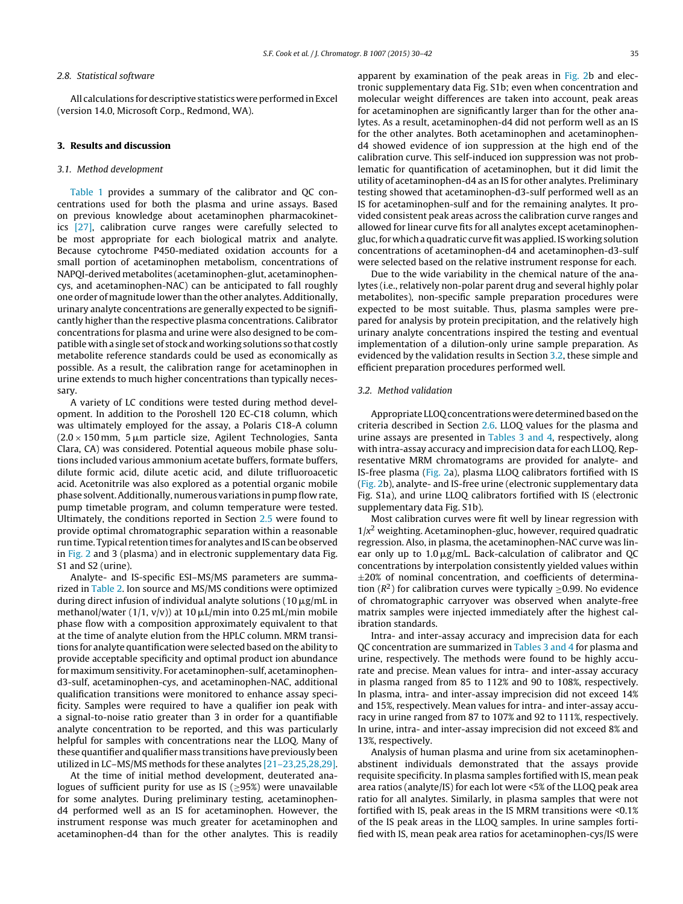#### <span id="page-5-0"></span>2.8. Statistical software

All calculations for descriptive statistics were performed in Excel (version 14.0, Microsoft Corp., Redmond, WA).

# **3. Results and discussion**

# 3.1. Method development

[Table](#page-3-0) 1 provides a summary of the calibrator and QC concentrations used for both the plasma and urine assays. Based on previous knowledge about acetaminophen pharmacokinetics [\[27\],](#page-12-0) calibration curve ranges were carefully selected to be most appropriate for each biological matrix and analyte. Because cytochrome P450-mediated oxidation accounts for a small portion of acetaminophen metabolism, concentrations of NAPQI-derived metabolites (acetaminophen-glut, acetaminophencys, and acetaminophen-NAC) can be anticipated to fall roughly one order of magnitude lower than the other analytes. Additionally, urinary analyte concentrations are generally expected to be significantly higher than the respective plasma concentrations. Calibrator concentrations for plasma and urine were also designed to be compatible witha single set of stock and working solutions so that costly metabolite reference standards could be used as economically as possible. As a result, the calibration range for acetaminophen in urine extends to much higher concentrations than typically necessary.

A variety of LC conditions were tested during method development. In addition to the Poroshell 120 EC-C18 column, which was ultimately employed for the assay, a Polaris C18-A column  $(2.0 \times 150 \,\mathrm{mm}, \; 5 \,\mathrm{\mu m}$  particle size, Agilent Technologies, Santa Clara, CA) was considered. Potential aqueous mobile phase solutions included various ammonium acetate buffers, formate buffers, dilute formic acid, dilute acetic acid, and dilute trifluoroacetic acid. Acetonitrile was also explored as a potential organic mobile phase solvent.Additionally,numerous variations inpumpflow rate, pump timetable program, and column temperature were tested. Ultimately, the conditions reported in Section [2.5](#page-3-0) were found to provide optimal chromatographic separation within a reasonable run time. Typical retention times for analytes and IS can be observed in [Fig.](#page-7-0) 2 and 3 (plasma) and in electronic supplementary data Fig. S1 and S2 (urine).

Analyte- and IS-specific ESI–MS/MS parameters are summarized in [Table](#page-4-0) 2. Ion source and MS/MS conditions were optimized during direct infusion of individual analyte solutions (10  $\mu$ g/mL in methanol/water (1/1, v/v)) at 10  $\mu$ L/min into 0.25 mL/min mobile phase flow with a composition approximately equivalent to that at the time of analyte elution from the HPLC column. MRM transitions for analyte quantification were selected based on the ability to provide acceptable specificity and optimal product ion abundance for maximum sensitivity. For acetaminophen-sulf, acetaminophend3-sulf, acetaminophen-cys, and acetaminophen-NAC, additional qualification transitions were monitored to enhance assay specificity. Samples were required to have a qualifier ion peak with a signal-to-noise ratio greater than 3 in order for a quantifiable analyte concentration to be reported, and this was particularly helpful for samples with concentrations near the LLOQ. Many of these quantifier and qualifier mass transitions have previously been utilized in LC–MS/MS methods for these analytes [\[21–23,25,28,29\].](#page-12-0)

At the time of initial method development, deuterated analogues of sufficient purity for use as IS ( $\geq$ 95%) were unavailable for some analytes. During preliminary testing, acetaminophend4 performed well as an IS for acetaminophen. However, the instrument response was much greater for acetaminophen and acetaminophen-d4 than for the other analytes. This is readily for acetaminophen are significantly larger than for the other analytes. As a result, acetaminophen-d4 did not perform well as an IS for the other analytes. Both acetaminophen and acetaminophend4 showed evidence of ion suppression at the high end of the calibration curve. This self-induced ion suppression was not problematic for quantification of acetaminophen, but it did limit the utility of acetaminophen-d4 as an IS for other analytes. Preliminary testing showed that acetaminophen-d3-sulf performed well as an IS for acetaminophen-sulf and for the remaining analytes. It provided consistent peak areas across the calibration curve ranges and allowed for linear curve fits for all analytes except acetaminophengluc,for whicha quadratic curvefit was applied.IS working solution concentrations of acetaminophen-d4 and acetaminophen-d3-sulf were selected based on the relative instrument response for each.

Due to the wide variability in the chemical nature of the analytes (i.e., relatively non-polar parent drug and several highly polar metabolites), non-specific sample preparation procedures were expected to be most suitable. Thus, plasma samples were prepared for analysis by protein precipitation, and the relatively high urinary analyte concentrations inspired the testing and eventual implementation of a dilution-only urine sample preparation. As evidenced by the validation results in Section 3.2, these simple and efficient preparation procedures performed well.

# 3.2. Method validation

Appropriate LLOQ concentrations were determined based on the criteria described in Section [2.6.](#page-3-0) LLOQ values for the plasma and urine assays are presented in [Tables](#page-6-0) 3 and 4, respectively, along with intra-assay accuracy and imprecision data for each LLOQ. Representative MRM chromatograms are provided for analyte- and IS-free plasma [\(Fig.](#page-7-0) 2a), plasma LLOQ calibrators fortified with IS [\(Fig.](#page-7-0) 2b), analyte- and IS-free urine (electronic supplementary data Fig. S1a), and urine LLOQ calibrators fortified with IS (electronic supplementary data Fig. S1b).

Most calibration curves were fit well by linear regression with  $1/x^2$  weighting. Acetaminophen-gluc, however, required quadratic regression. Also, in plasma, the acetaminophen-NAC curve was linear only up to  $1.0 \mu$ g/mL. Back-calculation of calibrator and QC concentrations by interpolation consistently yielded values within  $\pm 20\%$  of nominal concentration, and coefficients of determination ( $\mathbb{R}^2$ ) for calibration curves were typically  $\geq$ 0.99. No evidence of chromatographic carryover was observed when analyte-free matrix samples were injected immediately after the highest calibration standards.

Intra- and inter-assay accuracy and imprecision data for each QC concentration are summarized in [Tables](#page-6-0) 3 and 4 for plasma and urine, respectively. The methods were found to be highly accurate and precise. Mean values for intra- and inter-assay accuracy in plasma ranged from 85 to 112% and 90 to 108%, respectively. In plasma, intra- and inter-assay imprecision did not exceed 14% and 15%, respectively. Mean values for intra- and inter-assay accuracy in urine ranged from 87 to 107% and 92 to 111%, respectively. In urine, intra- and inter-assay imprecision did not exceed 8% and 13%, respectively.

Analysis of human plasma and urine from six acetaminophenabstinent individuals demonstrated that the assays provide requisite specificity. In plasma samples fortified with IS, mean peak area ratios (analyte/IS) for each lot were <5% of the LLOQ peak area ratio for all analytes. Similarly, in plasma samples that were not fortified with IS, peak areas in the IS MRM transitions were <0.1% of the IS peak areas in the LLOQ samples. In urine samples fortified with IS, mean peak area ratios for acetaminophen-cys/IS were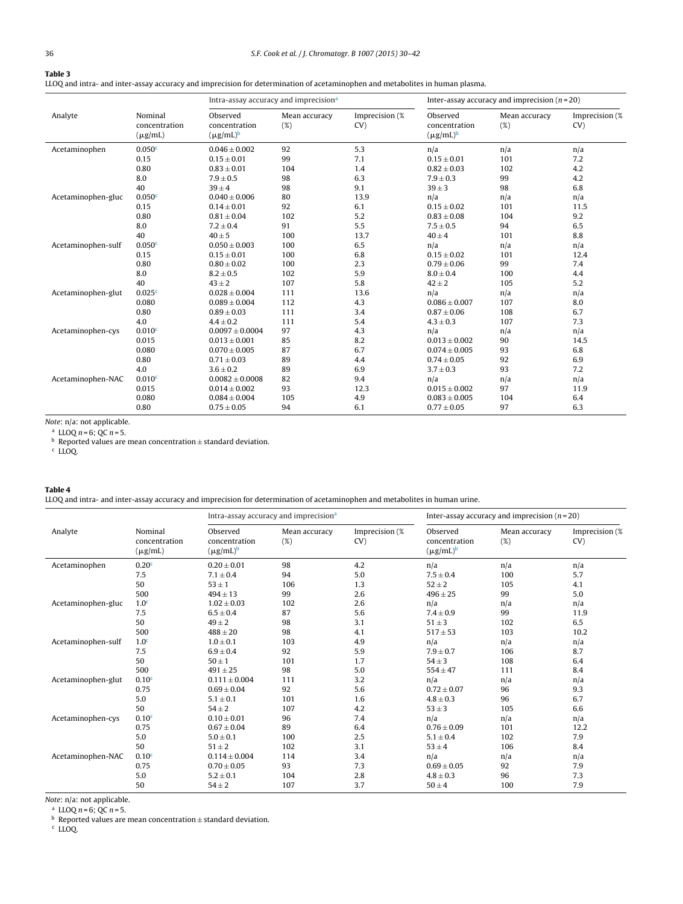<span id="page-6-0"></span>LLOQ and intra- and inter-assay accuracy and imprecision for determination of acetaminophen and metabolites in human plasma.

|                    |                                          | Intra-assay accuracy and imprecision <sup>a</sup> |                      | Inter-assay accuracy and imprecision $(n=20)$ |                                             |                      |                       |
|--------------------|------------------------------------------|---------------------------------------------------|----------------------|-----------------------------------------------|---------------------------------------------|----------------------|-----------------------|
| Analyte            | Nominal<br>concentration<br>$(\mu g/mL)$ | Observed<br>concentration<br>$(\mu g/mL)^b$       | Mean accuracy<br>(%) | Imprecision (%<br>CV)                         | Observed<br>concentration<br>$(\mu g/mL)^b$ | Mean accuracy<br>(%) | Imprecision (%<br>CV) |
| Acetaminophen      | 0.050 <sup>c</sup>                       | $0.046 \pm 0.002$                                 | 92                   | 5.3                                           | n/a                                         | n/a                  | n/a                   |
|                    | 0.15                                     | $0.15 \pm 0.01$                                   | 99                   | 7.1                                           | $0.15 \pm 0.01$                             | 101                  | 7.2                   |
|                    | 0.80                                     | $0.83 \pm 0.01$                                   | 104                  | 1.4                                           | $0.82 \pm 0.03$                             | 102                  | 4.2                   |
|                    | 8.0                                      | $7.9 \pm 0.5$                                     | 98                   | 6.3                                           | $7.9 \pm 0.3$                               | 99                   | 4.2                   |
|                    | 40                                       | $39 \pm 4$                                        | 98                   | 9.1                                           | $39 \pm 3$                                  | 98                   | 6.8                   |
| Acetaminophen-gluc | 0.050 <sup>c</sup>                       | $0.040 \pm 0.006$                                 | 80                   | 13.9                                          | n/a                                         | n/a                  | n/a                   |
|                    | 0.15                                     | $0.14 \pm 0.01$                                   | 92                   | 6.1                                           | $0.15 \pm 0.02$                             | 101                  | 11.5                  |
|                    | 0.80                                     | $0.81 \pm 0.04$                                   | 102                  | 5.2                                           | $0.83 \pm 0.08$                             | 104                  | 9.2                   |
|                    | 8.0                                      | $7.2 \pm 0.4$                                     | 91                   | 5.5                                           | $7.5 \pm 0.5$                               | 94                   | 6.5                   |
|                    | 40                                       | $40 \pm 5$                                        | 100                  | 13.7                                          | $40 \pm 4$                                  | 101                  | 8.8                   |
| Acetaminophen-sulf | 0.050 <sup>c</sup>                       | $0.050 \pm 0.003$                                 | 100                  | 6.5                                           | n/a                                         | n/a                  | n/a                   |
|                    | 0.15                                     | $0.15 \pm 0.01$                                   | 100                  | 6.8                                           | $0.15 \pm 0.02$                             | 101                  | 12.4                  |
|                    | 0.80                                     | $0.80 \pm 0.02$                                   | 100                  | 2.3                                           | $0.79 \pm 0.06$                             | 99                   | 7.4                   |
|                    | 8.0                                      | $8.2 \pm 0.5$                                     | 102                  | 5.9                                           | $8.0 \pm 0.4$                               | 100                  | 4.4                   |
|                    | 40                                       | $43 \pm 2$                                        | 107                  | 5.8                                           | $42 \pm 2$                                  | 105                  | 5.2                   |
| Acetaminophen-glut | 0.025c                                   | $0.028 \pm 0.004$                                 | 111                  | 13.6                                          | n/a                                         | n/a                  | n/a                   |
|                    | 0.080                                    | $0.089 \pm 0.004$                                 | 112                  | 4.3                                           | $0.086 \pm 0.007$                           | 107                  | 8.0                   |
|                    | 0.80                                     | $0.89 \pm 0.03$                                   | 111                  | 3.4                                           | $0.87 \pm 0.06$                             | 108                  | 6.7                   |
|                    | 4.0                                      | $4.4 \pm 0.2$                                     | 111                  | 5.4                                           | $4.3 \pm 0.3$                               | 107                  | 7.3                   |
| Acetaminophen-cys  | 0.010 <sup>c</sup>                       | $0.0097 \pm 0.0004$                               | 97                   | 4.3                                           | n/a                                         | n/a                  | n/a                   |
|                    | 0.015                                    | $0.013 \pm 0.001$                                 | 85                   | 8.2                                           | $0.013 \pm 0.002$                           | 90                   | 14.5                  |
|                    | 0.080                                    | $0.070 \pm 0.005$                                 | 87                   | 6.7                                           | $0.074 \pm 0.005$                           | 93                   | 6.8                   |
|                    | 0.80                                     | $0.71 \pm 0.03$                                   | 89                   | 4.4                                           | $0.74 \pm 0.05$                             | 92                   | 6.9                   |
|                    | 4.0                                      | $3.6 \pm 0.2$                                     | 89                   | 6.9                                           | $3.7 \pm 0.3$                               | 93                   | 7.2                   |
| Acetaminophen-NAC  | 0.010 <sup>c</sup>                       | $0.0082 \pm 0.0008$                               | 82                   | 9.4                                           | n/a                                         | n/a                  | n/a                   |
|                    | 0.015                                    | $0.014 \pm 0.002$                                 | 93                   | 12.3                                          | $0.015 \pm 0.002$                           | 97                   | 11.9                  |
|                    | 0.080                                    | $0.084 \pm 0.004$                                 | 105                  | 4.9                                           | $0.083 \pm 0.005$                           | 104                  | 6.4                   |
|                    | 0.80                                     | $0.75 \pm 0.05$                                   | 94                   | 6.1                                           | $0.77 \pm 0.05$                             | 97                   | 6.3                   |

Note: n/a: not applicable.

<sup>a</sup> LLOQ  $n = 6$ ; QC  $n = 5$ .

b Reported values are mean concentration  $\pm$  standard deviation.<br>c LLOQ.

#### **Table 4**

LLOQ and intra- and inter-assay accuracy and imprecision for determination of acetaminophen and metabolites in human urine.

|                    |                                          |                                             | Intra-assay accuracy and imprecision <sup>a</sup> |                       |                                             | Inter-assay accuracy and imprecision $(n=20)$ |                       |
|--------------------|------------------------------------------|---------------------------------------------|---------------------------------------------------|-----------------------|---------------------------------------------|-----------------------------------------------|-----------------------|
| Analyte            | Nominal<br>concentration<br>$(\mu g/mL)$ | Observed<br>concentration<br>$(\mu g/mL)^b$ | Mean accuracy<br>(%)                              | Imprecision (%<br>CV) | Observed<br>concentration<br>$(\mu g/mL)^b$ | Mean accuracy<br>(%)                          | Imprecision (%<br>CV) |
| Acetaminophen      | 0.20 <sup>c</sup>                        | $0.20 \pm 0.01$                             | 98                                                | 4.2                   | n/a                                         | n/a                                           | n/a                   |
|                    | 7.5                                      | $7.1 \pm 0.4$                               | 94                                                | 5.0                   | $7.5 \pm 0.4$                               | 100                                           | 5.7                   |
|                    | 50                                       | $53 \pm 1$                                  | 106                                               | 1.3                   | $52 \pm 2$                                  | 105                                           | 4.1                   |
|                    | 500                                      | $494 \pm 13$                                | 99                                                | 2.6                   | $496 \pm 25$                                | 99                                            | 5.0                   |
| Acetaminophen-gluc | 1.0 <sup>c</sup>                         | $1.02 \pm 0.03$                             | 102                                               | 2.6                   | n/a                                         | n/a                                           | n/a                   |
|                    | 7.5                                      | $6.5 \pm 0.4$                               | 87                                                | 5.6                   | $7.4 \pm 0.9$                               | 99                                            | 11.9                  |
|                    | 50                                       | $49 \pm 2$                                  | 98                                                | 3.1                   | $51 \pm 3$                                  | 102                                           | 6.5                   |
|                    | 500                                      | $488 \pm 20$                                | 98                                                | 4.1                   | $517 \pm 53$                                | 103                                           | 10.2                  |
| Acetaminophen-sulf | 1.0 <sup>c</sup>                         | $1.0 \pm 0.1$                               | 103                                               | 4.9                   | n/a                                         | n/a                                           | n/a                   |
|                    | 7.5                                      | $6.9 \pm 0.4$                               | 92                                                | 5.9                   | $7.9 \pm 0.7$                               | 106                                           | 8.7                   |
|                    | 50                                       | $50 \pm 1$                                  | 101                                               | 1.7                   | $54 \pm 3$                                  | 108                                           | 6.4                   |
|                    | 500                                      | $491 \pm 25$                                | 98                                                | 5.0                   | $554 \pm 47$                                | 111                                           | 8.4                   |
| Acetaminophen-glut | 0.10 <sup>c</sup>                        | $0.111 \pm 0.004$                           | 111                                               | 3.2                   | n/a                                         | n/a                                           | n/a                   |
|                    | 0.75                                     | $0.69 \pm 0.04$                             | 92                                                | 5.6                   | $0.72 \pm 0.07$                             | 96                                            | 9.3                   |
|                    | 5.0                                      | $5.1 \pm 0.1$                               | 101                                               | 1.6                   | $4.8 \pm 0.3$                               | 96                                            | 6.7                   |
|                    | 50                                       | $54\pm2$                                    | 107                                               | 4.2                   | $53 \pm 3$                                  | 105                                           | 6.6                   |
| Acetaminophen-cys  | 0.10 <sup>c</sup>                        | $0.10 \pm 0.01$                             | 96                                                | 7.4                   | n/a                                         | n/a                                           | n/a                   |
|                    | 0.75                                     | $0.67 \pm 0.04$                             | 89                                                | 6.4                   | $0.76 \pm 0.09$                             | 101                                           | 12.2                  |
|                    | 5.0                                      | $5.0 \pm 0.1$                               | 100                                               | 2.5                   | $5.1 \pm 0.4$                               | 102                                           | 7.9                   |
|                    | 50                                       | $51 \pm 2$                                  | 102                                               | 3.1                   | $53 \pm 4$                                  | 106                                           | 8.4                   |
| Acetaminophen-NAC  | 0.10 <sup>c</sup>                        | $0.114 \pm 0.004$                           | 114                                               | 3.4                   | n/a                                         | n/a                                           | n/a                   |
|                    | 0.75                                     | $0.70 \pm 0.05$                             | 93                                                | 7.3                   | $0.69 \pm 0.05$                             | 92                                            | 7.9                   |
|                    | 5.0                                      | $5.2 \pm 0.1$                               | 104                                               | 2.8                   | $4.8 \pm 0.3$                               | 96                                            | 7.3                   |
|                    | 50                                       | $54 \pm 2$                                  | 107                                               | 3.7                   | $50 \pm 4$                                  | 100                                           | 7.9                   |

Note: n/a: not applicable.

<sup>a</sup> LLOQ  $n = 6$ ; QC  $n = 5$ .

 $^{\rm b}$  Reported values are mean concentration $\pm$  standard deviation.<br><sup>c</sup> LLOQ.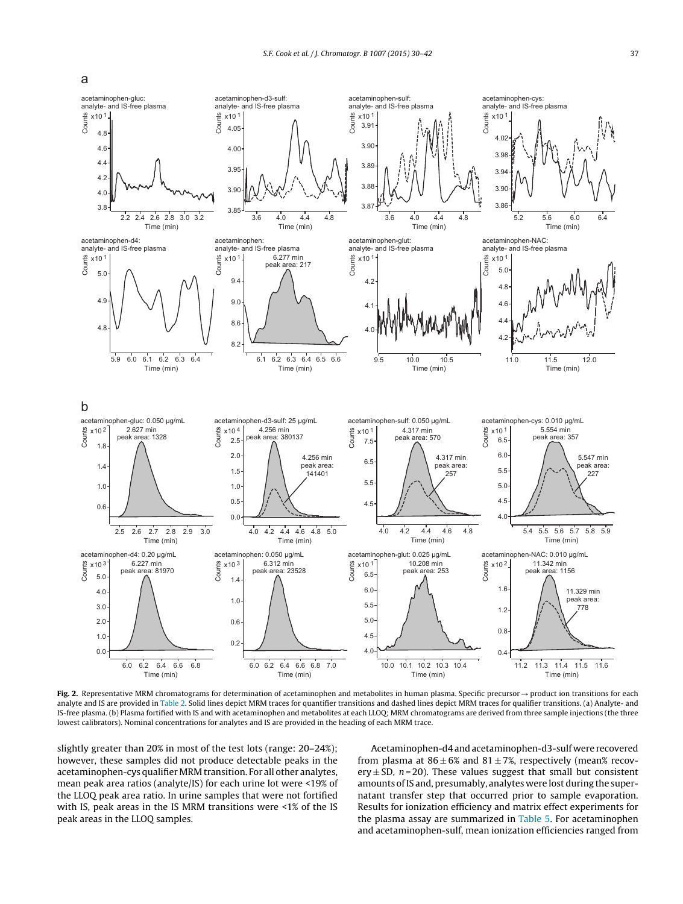<span id="page-7-0"></span>



**Fig.** 2. Representative MRM chromatograms for determination of acetaminophen and metabolites in human plasma. Specific precursor → product ion transitions for each analyte and IS are provided in [Table](#page-4-0) 2. Solid lines depict MRM traces for quantifier transitions and dashed lines depict MRM traces for qualifier transitions. (a) Analyte- and IS-free plasma. (b) Plasma fortified with IS and with acetaminophen and metabolites at each LLOQ; MRM chromatograms are derived from three sample injections (the three lowest calibrators). Nominal concentrations for analytes and IS are provided in the heading of each MRM trace.

slightly greater than 20% in most of the test lots (range: 20–24%); however, these samples did not produce detectable peaks in the acetaminophen-cys qualifier MRM transition. For all other analytes, mean peak area ratios (analyte/IS) for each urine lot were <19% of the LLOQ peak area ratio. In urine samples that were not fortified with IS, peak areas in the IS MRM transitions were <1% of the IS peak areas in the LLOQ samples.

Acetaminophen-d4 andacetaminophen-d3-sulf were recovered from plasma at  $86 \pm 6\%$  and  $81 \pm 7\%$ , respectively (mean% recovery  $\pm$  SD,  $n = 20$ ). These values suggest that small but consistent amounts ofIS and, presumably, analytes were lost during the supernatant transfer step that occurred prior to sample evaporation. Results for ionization efficiency and matrix effect experiments for the plasma assay are summarized in [Table](#page-8-0) 5. For acetaminophen and acetaminophen-sulf, mean ionization efficiencies ranged from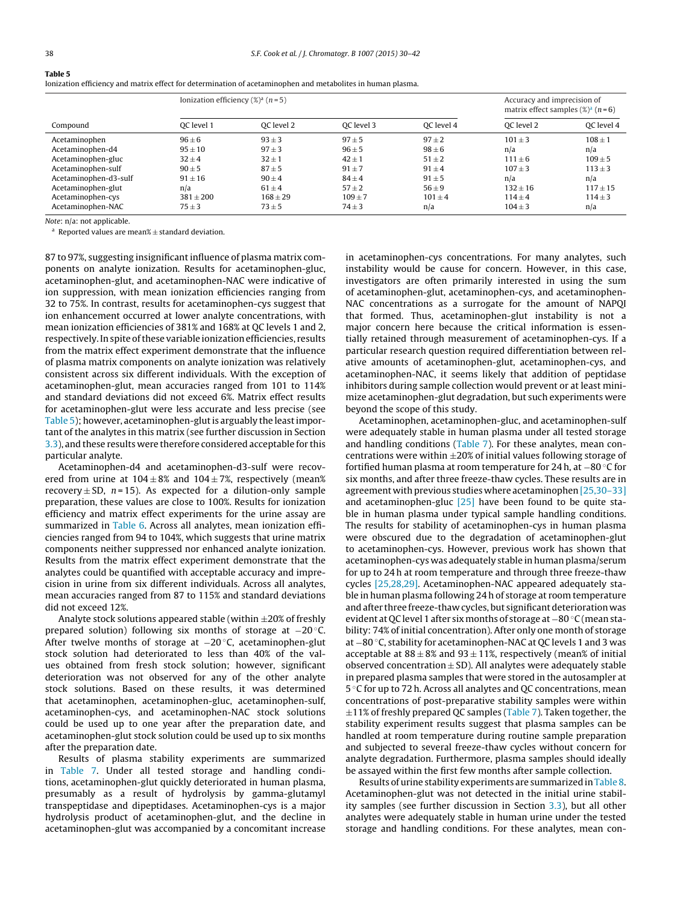<span id="page-8-0"></span>

| Ionization efficiency and matrix effect for determination of acetaminophen and metabolites in human plasma. |  |  |  |
|-------------------------------------------------------------------------------------------------------------|--|--|--|
|                                                                                                             |  |  |  |

|                       | Ionization efficiency $(\%)^a$ (n = 5) |            |            |            | Accuracy and imprecision of<br>matrix effect samples $(\%)^a$ (n=6) |             |  |
|-----------------------|----------------------------------------|------------|------------|------------|---------------------------------------------------------------------|-------------|--|
| Compound              | OC level 1                             | OC level 2 | OC level 3 | OC level 4 | OC level 2                                                          | OC level 4  |  |
| Acetaminophen         | $96\pm 6$                              | $93 \pm 3$ | $97 + 5$   | $97 + 2$   | $101 \pm 3$                                                         | $108 \pm 1$ |  |
| Acetaminophen-d4      | $95 \pm 10$                            | $97 \pm 3$ | $96 \pm 5$ | $98 \pm 6$ | n/a                                                                 | n/a         |  |
| Acetaminophen-gluc    | $32 \pm 4$                             | $32 \pm 1$ | $42 \pm 1$ | $51 \pm 2$ | $111 \pm 6$                                                         | $109 \pm 5$ |  |
| Acetaminophen-sulf    | $90 \pm 5$                             | $87 + 5$   | $91 + 7$   | $91 + 4$   | $107 + 3$                                                           | $113 \pm 3$ |  |
| Acetaminophen-d3-sulf | $91 \pm 16$                            | $90 + 4$   | $84 + 4$   | $91 + 5$   | n/a                                                                 | n/a         |  |
| Acetaminophen-glut    | n/a                                    | $61 + 4$   | $57 + 2$   | $56 + 9$   | $132 + 16$                                                          | $117 + 15$  |  |
| Acetaminophen-cys     | $381 + 200$                            | $168 + 29$ | $109 + 7$  | $101 + 4$  | $114 + 4$                                                           | $114 \pm 3$ |  |
| Acetaminophen-NAC     | $75 \pm 3$                             | $73 \pm 5$ | $74 \pm 3$ | n/a        | $104 \pm 3$                                                         | n/a         |  |

Note: n/a: not applicable.

 $a$  Reported values are mean%  $+$  standard deviation.

87 to 97%, suggesting insignificant influence of plasma matrix components on analyte ionization. Results for acetaminophen-gluc, acetaminophen-glut, and acetaminophen-NAC were indicative of ion suppression, with mean ionization efficiencies ranging from 32 to 75%. In contrast, results for acetaminophen-cys suggest that ion enhancement occurred at lower analyte concentrations, with mean ionization efficiencies of 381% and 168% at QC levels 1 and 2, respectively.Inspite ofthese variable ionizationefficiencies, results from the matrix effect experiment demonstrate that the influence of plasma matrix components on analyte ionization was relatively consistent across six different individuals. With the exception of acetaminophen-glut, mean accuracies ranged from 101 to 114% and standard deviations did not exceed 6%. Matrix effect results for acetaminophen-glut were less accurate and less precise (see Table 5); however, acetaminophen-glutis arguably the leastimportant of the analytes in this matrix (see further discussion in Section [3.3\),](#page-9-0) and these results were therefore considered acceptable for this particular analyte.

Acetaminophen-d4 and acetaminophen-d3-sulf were recovered from urine at  $104 \pm 8\%$  and  $104 \pm 7\%$ , respectively (mean%) recovery  $\pm$  SD, n=15). As expected for a dilution-only sample preparation, these values are close to 100%. Results for ionization efficiency and matrix effect experiments for the urine assay are summarized in [Table](#page-9-0) 6. Across all analytes, mean ionization efficiencies ranged from 94 to 104%, which suggests that urine matrix components neither suppressed nor enhanced analyte ionization. Results from the matrix effect experiment demonstrate that the analytes could be quantified with acceptable accuracy and imprecision in urine from six different individuals. Across all analytes, mean accuracies ranged from 87 to 115% and standard deviations did not exceed 12%.

Analyte stock solutions appeared stable (within  $\pm 20\%$  of freshly prepared solution) following six months of storage at −20 ◦C. After twelve months of storage at −20 °C, acetaminophen-glut stock solution had deteriorated to less than 40% of the values obtained from fresh stock solution; however, significant deterioration was not observed for any of the other analyte stock solutions. Based on these results, it was determined that acetaminophen, acetaminophen-gluc, acetaminophen-sulf, acetaminophen-cys, and acetaminophen-NAC stock solutions could be used up to one year after the preparation date, and acetaminophen-glut stock solution could be used up to six months after the preparation date.

Results of plasma stability experiments are summarized in [Table](#page-9-0) 7. Under all tested storage and handling conditions, acetaminophen-glut quickly deteriorated in human plasma, presumably as a result of hydrolysis by gamma-glutamyl transpeptidase and dipeptidases. Acetaminophen-cys is a major hydrolysis product of acetaminophen-glut, and the decline in acetaminophen-glut was accompanied by a concomitant increase

in acetaminophen-cys concentrations. For many analytes, such instability would be cause for concern. However, in this case, investigators are often primarily interested in using the sum of acetaminophen-glut, acetaminophen-cys, and acetaminophen-NAC concentrations as a surrogate for the amount of NAPQI that formed. Thus, acetaminophen-glut instability is not a major concern here because the critical information is essentially retained through measurement of acetaminophen-cys. If a particular research question required differentiation between relative amounts of acetaminophen-glut, acetaminophen-cys, and acetaminophen-NAC, it seems likely that addition of peptidase inhibitors during sample collection would prevent or at least minimize acetaminophen-glut degradation, but such experiments were beyond the scope of this study.

Acetaminophen, acetaminophen-gluc, and acetaminophen-sulf were adequately stable in human plasma under all tested storage and handling conditions ([Table](#page-9-0) 7). For these analytes, mean concentrations were within  $\pm 20\%$  of initial values following storage of fortified human plasma at room temperature for 24 h, at −80 ◦C for six months, and after three freeze-thaw cycles. These results are in agreement with previous studies where acetaminophen  $[25,30-33]$ and acetaminophen-gluc [\[25\]](#page-12-0) have been found to be quite stable in human plasma under typical sample handling conditions. The results for stability of acetaminophen-cys in human plasma were obscured due to the degradation of acetaminophen-glut to acetaminophen-cys. However, previous work has shown that acetaminophen-cys was adequately stable in human plasma/serum for up to 24 h at room temperature and through three freeze-thaw cycles [\[25,28,29\].](#page-12-0) Acetaminophen-NAC appeared adequately stable in human plasma following 24 h of storage at room temperature and after three freeze-thaw cycles, but significant deterioration was evident at QC level 1 after six months of storage at −80 °C (mean stability: 74% of initial concentration). After only one month of storage at −80 ◦C, stability for acetaminophen-NAC at QC levels 1 and 3 was acceptable at  $88 \pm 8\%$  and  $93 \pm 11\%$ , respectively (mean% of initial observed concentration  $\pm$  SD). All analytes were adequately stable in prepared plasma samples that were stored in the autosampler at 5 ◦C for up to 72 h. Across all analytes and QC concentrations, mean concentrations of post-preparative stability samples were within  $\pm$ 11% of freshly prepared QC samples [\(Table](#page-9-0) 7). Taken together, the stability experiment results suggest that plasma samples can be handled at room temperature during routine sample preparation and subjected to several freeze-thaw cycles without concern for analyte degradation. Furthermore, plasma samples should ideally be assayed within the first few months after sample collection.

Results of urine stability experiments are summarized in [Table](#page-9-0) 8. Acetaminophen-glut was not detected in the initial urine stability samples (see further discussion in Section [3.3\),](#page-9-0) but all other analytes were adequately stable in human urine under the tested storage and handling conditions. For these analytes, mean con-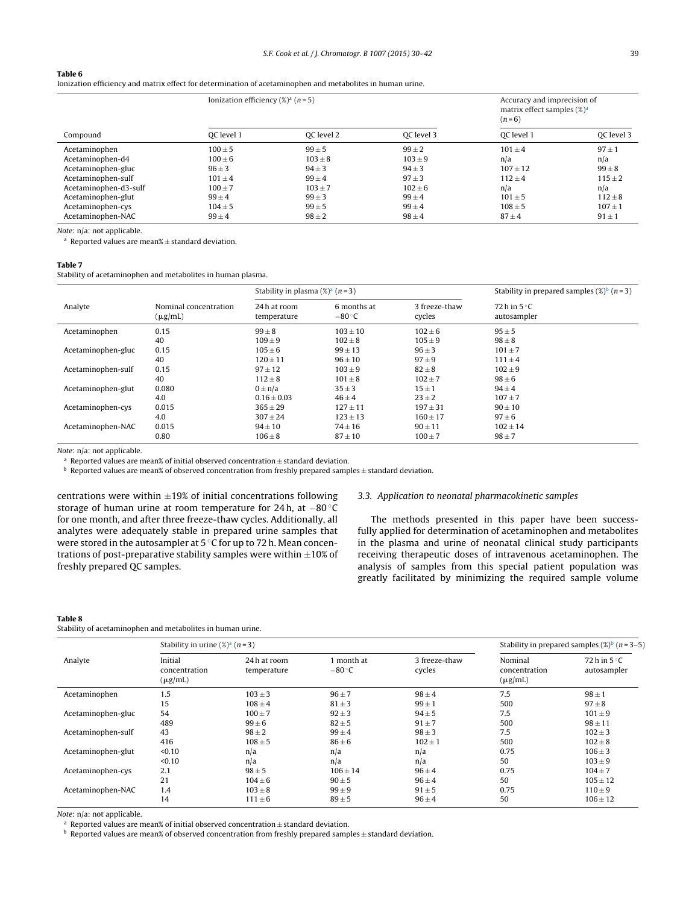<span id="page-9-0"></span>Ionization efficiency and matrix effect for determination of acetaminophen and metabolites in human urine.

|                       | Ionization efficiency $(\%)^a$ (n = 5) |             |             | $(n=6)$      | Accuracy and imprecision of<br>matrix effect samples $(\%)^a$ |  |
|-----------------------|----------------------------------------|-------------|-------------|--------------|---------------------------------------------------------------|--|
| Compound              | OC level 1                             | OC level 2  | OC level 3  | OC level 1   | OC level 3                                                    |  |
| Acetaminophen         | $100 \pm 5$                            | $99 \pm 5$  | $99 \pm 2$  | $101 + 4$    | $97 \pm 1$                                                    |  |
| Acetaminophen-d4      | $100 \pm 6$                            | $103 \pm 8$ | $103 \pm 9$ | n/a          | n/a                                                           |  |
| Acetaminophen-gluc    | $96 \pm 3$                             | $94 \pm 3$  | $94 \pm 3$  | $107 \pm 12$ | $99\pm8$                                                      |  |
| Acetaminophen-sulf    | $101 + 4$                              | $99 \pm 4$  | $97 + 3$    | $112 + 4$    | $115 \pm 2$                                                   |  |
| Acetaminophen-d3-sulf | $100 + 7$                              | $103 + 7$   | $102 + 6$   | n/a          | n/a                                                           |  |
| Acetaminophen-glut    | $99 \pm 4$                             | $99 \pm 3$  | $99 \pm 4$  | $101 \pm 5$  | $112 \pm 8$                                                   |  |
| Acetaminophen-cys     | $104 \pm 5$                            | $99 \pm 5$  | $99 \pm 4$  | $108 \pm 5$  | $107 \pm 1$                                                   |  |
| Acetaminophen-NAC     | $99 \pm 4$                             | $98 \pm 2$  | $98 \pm 4$  | $87 \pm 4$   | $91 \pm 1$                                                    |  |

Note: n/a: not applicable.

 $a$  Reported values are mean%  $\pm$  standard deviation.

#### **Table 7**

Stability of acetaminophen and metabolites in human plasma.

|                    |                                       | Stability in plasma $(\%)^a$ (n = 3) |                               | Stability in prepared samples $(\%)^b$ (n = 3) |                                      |
|--------------------|---------------------------------------|--------------------------------------|-------------------------------|------------------------------------------------|--------------------------------------|
| Analyte            | Nominal concentration<br>$(\mu g/mL)$ | 24 h at room<br>temperature          | 6 months at<br>$-80\degree$ C | 3 freeze-thaw<br>cycles                        | 72 h in $5^{\circ}$ C<br>autosampler |
| Acetaminophen      | 0.15                                  | $99 \pm 8$                           | $103 \pm 10$                  | $102 \pm 6$                                    | $95 \pm 5$                           |
|                    | 40                                    | $109 \pm 9$                          | $102 \pm 8$                   | $105 \pm 9$                                    | $98 \pm 8$                           |
| Acetaminophen-gluc | 0.15                                  | $105 \pm 6$                          | $99 \pm 13$                   | $96 \pm 3$                                     | $101 \pm 7$                          |
|                    | 40                                    | $120 \pm 11$                         | $96 \pm 10$                   | $97 + 9$                                       | $111 \pm 4$                          |
| Acetaminophen-sulf | 0.15                                  | $97 \pm 12$                          | $103 \pm 9$                   | $82 \pm 8$                                     | $102 \pm 9$                          |
|                    | 40                                    | $112 \pm 8$                          | $101 \pm 8$                   | $102 \pm 7$                                    | $98 \pm 6$                           |
| Acetaminophen-glut | 0.080                                 | $0 \pm n/a$                          | $35 \pm 3$                    | $15 \pm 1$                                     | $94 \pm 4$                           |
|                    | 4.0                                   | $0.16 \pm 0.03$                      | $46 \pm 4$                    | $23 \pm 2$                                     | $107 + 7$                            |
| Acetaminophen-cys  | 0.015                                 | $365 + 29$                           | $127 + 11$                    | $197 + 31$                                     | $90 \pm 10$                          |
|                    | 4.0                                   | $307 + 24$                           | $123 \pm 13$                  | $160 \pm 17$                                   | $97 \pm 6$                           |
| Acetaminophen-NAC  | 0.015                                 | $94 \pm 10$                          | $74 \pm 16$                   | $90 \pm 11$                                    | $102 \pm 14$                         |
|                    | 0.80                                  | $106 \pm 8$                          | $87 \pm 10$                   | $100 \pm 7$                                    | $98 \pm 7$                           |

Note: n/a: not applicable.

a Reported values are mean% of initial observed concentration  $\pm$  standard deviation. b Reported values are mean% of observed concentration from freshly prepared samples  $\pm$  standard deviation.

centrations were within  $\pm 19\%$  of initial concentrations following storage of human urine at room temperature for 24 h, at −80 ◦C for one month, and after three freeze-thaw cycles. Additionally, all analytes were adequately stable in prepared urine samples that were stored in the autosampler at 5 °C for up to 72 h. Mean concentrations of post-preparative stability samples were within  $\pm 10\%$  of freshly prepared QC samples.

#### 3.3. Application to neonatal pharmacokinetic samples

The methods presented in this paper have been successfully applied for determination of acetaminophen and metabolites in the plasma and urine of neonatal clinical study participants receiving therapeutic doses of intravenous acetaminophen. The analysis of samples from this special patient population was greatly facilitated by minimizing the required sample volume

#### **Table 8**

Stability of acetaminophen and metabolites in human urine.

|                    | Stability in urine $(\%)^a$ (n = 3)      |                            |                               |                         |                                          | Stability in prepared samples $(\%)^b$ (n = 3–5) |
|--------------------|------------------------------------------|----------------------------|-------------------------------|-------------------------|------------------------------------------|--------------------------------------------------|
| Analyte            | Initial<br>concentration<br>$(\mu g/mL)$ | 24h at room<br>temperature | 1 month at<br>$-80^{\circ}$ C | 3 freeze-thaw<br>cycles | Nominal<br>concentration<br>$(\mu g/mL)$ | 72 h in $5^{\circ}$ C<br>autosampler             |
| Acetaminophen      | 1.5                                      | $103 \pm 3$                | $96 \pm 7$                    | $98 \pm 4$              | 7.5                                      | $98 \pm 1$                                       |
|                    | 15                                       | $108 \pm 4$                | $81 \pm 3$                    | $99 \pm 1$              | 500                                      | $97 \pm 8$                                       |
| Acetaminophen-gluc | 54                                       | $100 \pm 7$                | $92 \pm 3$                    | $94 \pm 5$              | 7.5                                      | $101 \pm 9$                                      |
|                    | 489                                      | $99 \pm 6$                 | $82 \pm 5$                    | $91 \pm 7$              | 500                                      | $98 \pm 11$                                      |
| Acetaminophen-sulf | 43                                       | $98 \pm 2$                 | $99 \pm 4$                    | $98 \pm 3$              | 7.5                                      | $102 \pm 3$                                      |
|                    | 416                                      | $108 \pm 5$                | $86 \pm 6$                    | $102 \pm 1$             | 500                                      | $102 \pm 8$                                      |
| Acetaminophen-glut | < 0.10                                   | n/a                        | n/a                           | n/a                     | 0.75                                     | $106 + 3$                                        |
|                    | < 0.10                                   | n/a                        | n/a                           | n/a                     | 50                                       | $103 \pm 9$                                      |
| Acetaminophen-cys  | 2.1                                      | $98 \pm 5$                 | $106 \pm 14$                  | $96 \pm 4$              | 0.75                                     | $104 \pm 7$                                      |
|                    | 21                                       | $104 \pm 6$                | $90 \pm 5$                    | $96 \pm 4$              | 50                                       | $105 \pm 12$                                     |
| Acetaminophen-NAC  | 1.4                                      | $103 \pm 8$                | $99 \pm 9$                    | $91 \pm 5$              | 0.75                                     | $110 \pm 9$                                      |
|                    | 14                                       | $111 \pm 6$                | $89 \pm 5$                    | $96 \pm 4$              | 50                                       | $106 \pm 12$                                     |

Note: n/a: not applicable.

a Reported values are mean% of initial observed concentration  $\pm$  standard deviation. b Reported values are mean% of observed concentration from freshly prepared samples  $\pm$  standard deviation.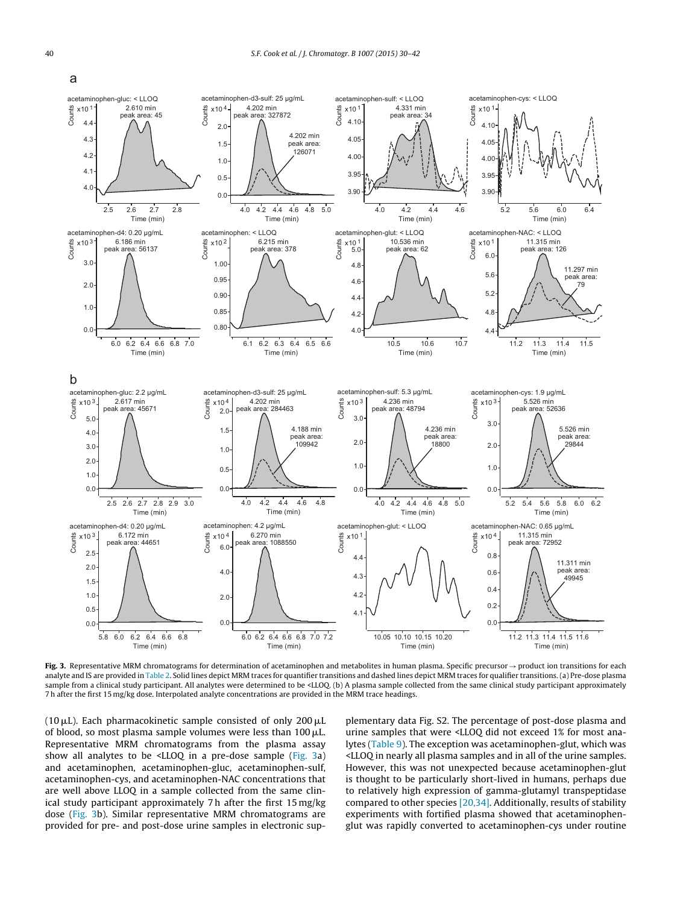

**Fig. 3.** Representative MRM chromatograms for determination of acetaminophen and metabolites in human plasma. Specific precursor→product ion transitions for each analyte and IS are provided in [Table](#page-4-0) 2. Solid lines depict MRM traces for quantifier transitions and dashed lines depict MRM traces for qualifier transitions. (a) Pre-dose plasma sample from a clinical study participant. All analytes were determined to be <LLOQ. (b) A plasma sample collected from the same clinical study participant approximately 7 h after the first 15 mg/kg dose. Interpolated analyte concentrations are provided in the MRM trace headings.

(10  $\mu$ L). Each pharmacokinetic sample consisted of only 200  $\mu$ L of blood, so most plasma sample volumes were less than 100  $\rm \mu L$ . Representative MRM chromatograms from the plasma assay show all analytes to be <LLOQ in a pre-dose sample (Fig. 3a) and acetaminophen, acetaminophen-gluc, acetaminophen-sulf, acetaminophen-cys, and acetaminophen-NAC concentrations that are well above LLOQ in a sample collected from the same clinical study participant approximately 7 h after the first 15 mg/kg dose (Fig. 3b). Similar representative MRM chromatograms are provided for pre- and post-dose urine samples in electronic supplementary data Fig. S2. The percentage of post-dose plasma and urine samples that were <LLOQ did not exceed 1% for most analytes ([Table](#page-11-0) 9). The exception was acetaminophen-glut, which was <LLOQ in nearly all plasma samples and in all of the urine samples. However, this was not unexpected because acetaminophen-glut is thought to be particularly short-lived in humans, perhaps due to relatively high expression of gamma-glutamyl transpeptidase compared to other species  $[20,34]$ . Additionally, results of stability experiments with fortified plasma showed that acetaminophenglut was rapidly converted to acetaminophen-cys under routine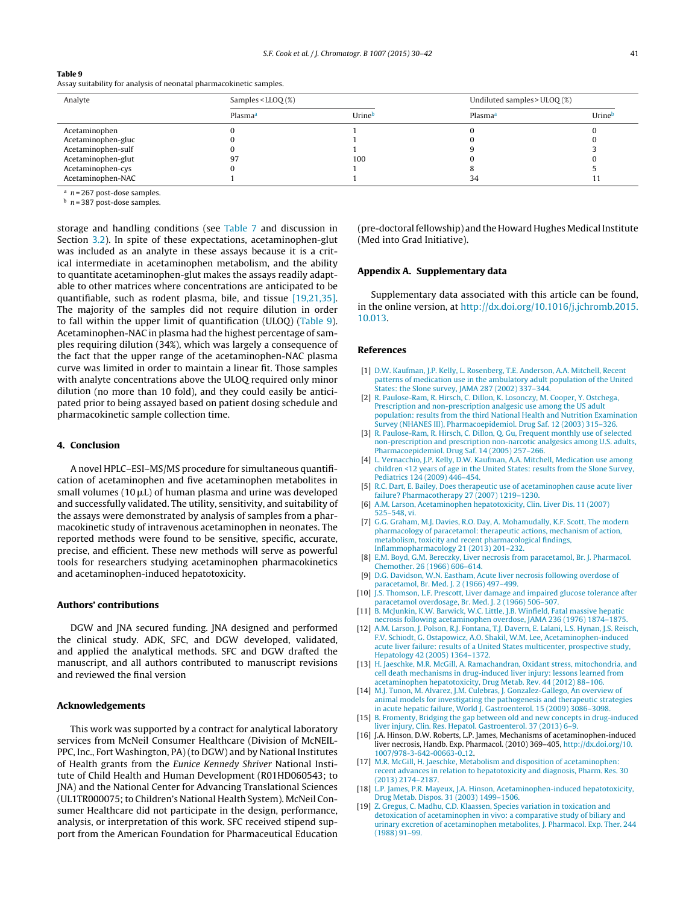<span id="page-11-0"></span>

| ш |  |
|---|--|
|---|--|

Assay suitability for analysis of neonatal pharmacokinetic samples.

| Analyte            | Samples < $LLOO(%)$ |        | Undiluted samples $>$ ULOQ $(\%)$ |        |  |
|--------------------|---------------------|--------|-----------------------------------|--------|--|
|                    | Plasma <sup>a</sup> | Urineb | Plasma <sup>a</sup>               | Urineb |  |
| Acetaminophen      |                     |        |                                   |        |  |
| Acetaminophen-gluc |                     |        |                                   |        |  |
| Acetaminophen-sulf |                     |        |                                   |        |  |
| Acetaminophen-glut | 97                  | 100    |                                   |        |  |
| Acetaminophen-cys  |                     |        |                                   |        |  |
| Acetaminophen-NAC  |                     |        | 34                                |        |  |

 $n = 267$  post-dose samples.

 $h$  n = 387 post-dose samples.

storage and handling conditions (see [Table](#page-9-0) 7 and discussion in Section [3.2\).](#page-5-0) In spite of these expectations, acetaminophen-glut was included as an analyte in these assays because it is a critical intermediate in acetaminophen metabolism, and the ability to quantitate acetaminophen-glut makes the assays readily adaptable to other matrices where concentrations are anticipated to be quantifiable, such as rodent plasma, bile, and tissue [19,21,35]. The majority of the samples did not require dilution in order to fall within the upper limit of quantification (ULOQ) (Table 9). Acetaminophen-NAC in plasma had the highest percentage of samples requiring dilution (34%), which was largely a consequence of the fact that the upper range of the acetaminophen-NAC plasma curve was limited in order to maintain a linear fit. Those samples with analyte concentrations above the ULOQ required only minor dilution (no more than 10 fold), and they could easily be anticipated prior to being assayed based on patient dosing schedule and pharmacokinetic sample collection time.

#### **4. Conclusion**

A novel HPLC–ESI–MS/MS procedure for simultaneous quantification of acetaminophen and five acetaminophen metabolites in small volumes (10  $\mu$ L) of human plasma and urine was developed and successfully validated. The utility, sensitivity, and suitability of the assays were demonstrated by analysis of samples from a pharmacokinetic study of intravenous acetaminophen in neonates. The reported methods were found to be sensitive, specific, accurate, precise, and efficient. These new methods will serve as powerful tools for researchers studying acetaminophen pharmacokinetics and acetaminophen-induced hepatotoxicity.

#### **Authors' contributions**

DGW and JNA secured funding. JNA designed and performed the clinical study. ADK, SFC, and DGW developed, validated, and applied the analytical methods. SFC and DGW drafted the manuscript, and all authors contributed to manuscript revisions and reviewed the final version

#### **Acknowledgements**

This work was supported by a contract for analytical laboratory services from McNeil Consumer Healthcare (Division of McNEIL-PPC, Inc., Fort Washington, PA) (to DGW) and by National Institutes of Health grants from the Eunice Kennedy Shriver National Institute of Child Health and Human Development (R01HD060543; to JNA) and the National Center for Advancing Translational Sciences (UL1TR000075;to Children's National Health System). McNeil Consumer Healthcare did not participate in the design, performance, analysis, or interpretation of this work. SFC received stipend support from the American Foundation for Pharmaceutical Education (pre-doctoral fellowship) and the Howard Hughes Medical Institute (Med into Grad Initiative).

# **Appendix A. Supplementary data**

Supplementary data associated with this article can be found, in the online version, at [http://dx.doi.org/10.1016/j.jchromb.2015.](http://dx.doi.org/10.1016/j.jchromb.2015.10.013) [10.013](http://dx.doi.org/10.1016/j.jchromb.2015.10.013).

#### **References**

- [1] [D.W.](http://refhub.elsevier.com/S1570-0232(15)30230-0/sbref0005) [Kaufman,](http://refhub.elsevier.com/S1570-0232(15)30230-0/sbref0005) [J.P.](http://refhub.elsevier.com/S1570-0232(15)30230-0/sbref0005) [Kelly,](http://refhub.elsevier.com/S1570-0232(15)30230-0/sbref0005) [L.](http://refhub.elsevier.com/S1570-0232(15)30230-0/sbref0005) [Rosenberg,](http://refhub.elsevier.com/S1570-0232(15)30230-0/sbref0005) [T.E.](http://refhub.elsevier.com/S1570-0232(15)30230-0/sbref0005) [Anderson,](http://refhub.elsevier.com/S1570-0232(15)30230-0/sbref0005) [A.A.](http://refhub.elsevier.com/S1570-0232(15)30230-0/sbref0005) [Mitchell,](http://refhub.elsevier.com/S1570-0232(15)30230-0/sbref0005) [Recent](http://refhub.elsevier.com/S1570-0232(15)30230-0/sbref0005) [patterns](http://refhub.elsevier.com/S1570-0232(15)30230-0/sbref0005) [of](http://refhub.elsevier.com/S1570-0232(15)30230-0/sbref0005) [medication](http://refhub.elsevier.com/S1570-0232(15)30230-0/sbref0005) [use](http://refhub.elsevier.com/S1570-0232(15)30230-0/sbref0005) [in](http://refhub.elsevier.com/S1570-0232(15)30230-0/sbref0005) [the](http://refhub.elsevier.com/S1570-0232(15)30230-0/sbref0005) [ambulatory](http://refhub.elsevier.com/S1570-0232(15)30230-0/sbref0005) [adult](http://refhub.elsevier.com/S1570-0232(15)30230-0/sbref0005) [population](http://refhub.elsevier.com/S1570-0232(15)30230-0/sbref0005) [of](http://refhub.elsevier.com/S1570-0232(15)30230-0/sbref0005) [the](http://refhub.elsevier.com/S1570-0232(15)30230-0/sbref0005) [United](http://refhub.elsevier.com/S1570-0232(15)30230-0/sbref0005) [States:](http://refhub.elsevier.com/S1570-0232(15)30230-0/sbref0005) [the](http://refhub.elsevier.com/S1570-0232(15)30230-0/sbref0005) [Slone](http://refhub.elsevier.com/S1570-0232(15)30230-0/sbref0005) [survey,](http://refhub.elsevier.com/S1570-0232(15)30230-0/sbref0005) [JAMA](http://refhub.elsevier.com/S1570-0232(15)30230-0/sbref0005) [287](http://refhub.elsevier.com/S1570-0232(15)30230-0/sbref0005) [\(2002\)](http://refhub.elsevier.com/S1570-0232(15)30230-0/sbref0005) [337–344.](http://refhub.elsevier.com/S1570-0232(15)30230-0/sbref0005)
- [2] [R.](http://refhub.elsevier.com/S1570-0232(15)30230-0/sbref0010) [Paulose-Ram,](http://refhub.elsevier.com/S1570-0232(15)30230-0/sbref0010) [R.](http://refhub.elsevier.com/S1570-0232(15)30230-0/sbref0010) [Hirsch,](http://refhub.elsevier.com/S1570-0232(15)30230-0/sbref0010) [C.](http://refhub.elsevier.com/S1570-0232(15)30230-0/sbref0010) [Dillon,](http://refhub.elsevier.com/S1570-0232(15)30230-0/sbref0010) [K.](http://refhub.elsevier.com/S1570-0232(15)30230-0/sbref0010) [Losonczy,](http://refhub.elsevier.com/S1570-0232(15)30230-0/sbref0010) [M.](http://refhub.elsevier.com/S1570-0232(15)30230-0/sbref0010) [Cooper,](http://refhub.elsevier.com/S1570-0232(15)30230-0/sbref0010) [Y.](http://refhub.elsevier.com/S1570-0232(15)30230-0/sbref0010) [Ostchega,](http://refhub.elsevier.com/S1570-0232(15)30230-0/sbref0010) [Prescription](http://refhub.elsevier.com/S1570-0232(15)30230-0/sbref0010) [and](http://refhub.elsevier.com/S1570-0232(15)30230-0/sbref0010) [non-prescription](http://refhub.elsevier.com/S1570-0232(15)30230-0/sbref0010) [analgesic](http://refhub.elsevier.com/S1570-0232(15)30230-0/sbref0010) [use](http://refhub.elsevier.com/S1570-0232(15)30230-0/sbref0010) [among](http://refhub.elsevier.com/S1570-0232(15)30230-0/sbref0010) [the](http://refhub.elsevier.com/S1570-0232(15)30230-0/sbref0010) [US](http://refhub.elsevier.com/S1570-0232(15)30230-0/sbref0010) [adult](http://refhub.elsevier.com/S1570-0232(15)30230-0/sbref0010) [population:](http://refhub.elsevier.com/S1570-0232(15)30230-0/sbref0010) [results](http://refhub.elsevier.com/S1570-0232(15)30230-0/sbref0010) [from](http://refhub.elsevier.com/S1570-0232(15)30230-0/sbref0010) [the](http://refhub.elsevier.com/S1570-0232(15)30230-0/sbref0010) [third](http://refhub.elsevier.com/S1570-0232(15)30230-0/sbref0010) [National](http://refhub.elsevier.com/S1570-0232(15)30230-0/sbref0010) [Health](http://refhub.elsevier.com/S1570-0232(15)30230-0/sbref0010) [and](http://refhub.elsevier.com/S1570-0232(15)30230-0/sbref0010) [Nutrition](http://refhub.elsevier.com/S1570-0232(15)30230-0/sbref0010) [Examination](http://refhub.elsevier.com/S1570-0232(15)30230-0/sbref0010) [Survey](http://refhub.elsevier.com/S1570-0232(15)30230-0/sbref0010) [\(NHANES](http://refhub.elsevier.com/S1570-0232(15)30230-0/sbref0010) [III\),](http://refhub.elsevier.com/S1570-0232(15)30230-0/sbref0010) [Pharmacoepidemiol.](http://refhub.elsevier.com/S1570-0232(15)30230-0/sbref0010) [Drug](http://refhub.elsevier.com/S1570-0232(15)30230-0/sbref0010) [Saf.](http://refhub.elsevier.com/S1570-0232(15)30230-0/sbref0010) [12](http://refhub.elsevier.com/S1570-0232(15)30230-0/sbref0010) [\(2003\)](http://refhub.elsevier.com/S1570-0232(15)30230-0/sbref0010) [315–326.](http://refhub.elsevier.com/S1570-0232(15)30230-0/sbref0010)
- [3] [R.](http://refhub.elsevier.com/S1570-0232(15)30230-0/sbref0015) [Paulose-Ram,](http://refhub.elsevier.com/S1570-0232(15)30230-0/sbref0015) R. [Hirsch,](http://refhub.elsevier.com/S1570-0232(15)30230-0/sbref0015) [C.](http://refhub.elsevier.com/S1570-0232(15)30230-0/sbref0015) [Dillon,](http://refhub.elsevier.com/S1570-0232(15)30230-0/sbref0015) [Q.](http://refhub.elsevier.com/S1570-0232(15)30230-0/sbref0015) [Gu,](http://refhub.elsevier.com/S1570-0232(15)30230-0/sbref0015) [Frequent](http://refhub.elsevier.com/S1570-0232(15)30230-0/sbref0015) [monthly](http://refhub.elsevier.com/S1570-0232(15)30230-0/sbref0015) [use](http://refhub.elsevier.com/S1570-0232(15)30230-0/sbref0015) [of](http://refhub.elsevier.com/S1570-0232(15)30230-0/sbref0015) [selected](http://refhub.elsevier.com/S1570-0232(15)30230-0/sbref0015) [non-prescription](http://refhub.elsevier.com/S1570-0232(15)30230-0/sbref0015) [and](http://refhub.elsevier.com/S1570-0232(15)30230-0/sbref0015) [prescription](http://refhub.elsevier.com/S1570-0232(15)30230-0/sbref0015) [non-narcotic](http://refhub.elsevier.com/S1570-0232(15)30230-0/sbref0015) [analgesics](http://refhub.elsevier.com/S1570-0232(15)30230-0/sbref0015) [among](http://refhub.elsevier.com/S1570-0232(15)30230-0/sbref0015) [U.S.](http://refhub.elsevier.com/S1570-0232(15)30230-0/sbref0015) [adults,](http://refhub.elsevier.com/S1570-0232(15)30230-0/sbref0015) [Pharmacoepidemiol.](http://refhub.elsevier.com/S1570-0232(15)30230-0/sbref0015) [Drug](http://refhub.elsevier.com/S1570-0232(15)30230-0/sbref0015) [Saf.](http://refhub.elsevier.com/S1570-0232(15)30230-0/sbref0015) [14](http://refhub.elsevier.com/S1570-0232(15)30230-0/sbref0015) [\(2005\)](http://refhub.elsevier.com/S1570-0232(15)30230-0/sbref0015) [257](http://refhub.elsevier.com/S1570-0232(15)30230-0/sbref0015)–[266.](http://refhub.elsevier.com/S1570-0232(15)30230-0/sbref0015)
- [4] [L.](http://refhub.elsevier.com/S1570-0232(15)30230-0/sbref0020) [Vernacchio,](http://refhub.elsevier.com/S1570-0232(15)30230-0/sbref0020) [J.P.](http://refhub.elsevier.com/S1570-0232(15)30230-0/sbref0020) [Kelly,](http://refhub.elsevier.com/S1570-0232(15)30230-0/sbref0020) [D.W.](http://refhub.elsevier.com/S1570-0232(15)30230-0/sbref0020) [Kaufman,](http://refhub.elsevier.com/S1570-0232(15)30230-0/sbref0020) [A.A.](http://refhub.elsevier.com/S1570-0232(15)30230-0/sbref0020) [Mitchell,](http://refhub.elsevier.com/S1570-0232(15)30230-0/sbref0020) [Medication](http://refhub.elsevier.com/S1570-0232(15)30230-0/sbref0020) [use](http://refhub.elsevier.com/S1570-0232(15)30230-0/sbref0020) [among](http://refhub.elsevier.com/S1570-0232(15)30230-0/sbref0020) [children](http://refhub.elsevier.com/S1570-0232(15)30230-0/sbref0020) [<12](http://refhub.elsevier.com/S1570-0232(15)30230-0/sbref0020) [years](http://refhub.elsevier.com/S1570-0232(15)30230-0/sbref0020) [of](http://refhub.elsevier.com/S1570-0232(15)30230-0/sbref0020) [age](http://refhub.elsevier.com/S1570-0232(15)30230-0/sbref0020) [in](http://refhub.elsevier.com/S1570-0232(15)30230-0/sbref0020) [the](http://refhub.elsevier.com/S1570-0232(15)30230-0/sbref0020) [United](http://refhub.elsevier.com/S1570-0232(15)30230-0/sbref0020) [States:](http://refhub.elsevier.com/S1570-0232(15)30230-0/sbref0020) [results](http://refhub.elsevier.com/S1570-0232(15)30230-0/sbref0020) [from](http://refhub.elsevier.com/S1570-0232(15)30230-0/sbref0020) [the](http://refhub.elsevier.com/S1570-0232(15)30230-0/sbref0020) [Slone](http://refhub.elsevier.com/S1570-0232(15)30230-0/sbref0020) [Survey,](http://refhub.elsevier.com/S1570-0232(15)30230-0/sbref0020) [Pediatrics](http://refhub.elsevier.com/S1570-0232(15)30230-0/sbref0020) [124](http://refhub.elsevier.com/S1570-0232(15)30230-0/sbref0020) [\(2009\)](http://refhub.elsevier.com/S1570-0232(15)30230-0/sbref0020) [446–454.](http://refhub.elsevier.com/S1570-0232(15)30230-0/sbref0020)
- [5] [R.C.](http://refhub.elsevier.com/S1570-0232(15)30230-0/sbref0025) [Dart,](http://refhub.elsevier.com/S1570-0232(15)30230-0/sbref0025) [E.](http://refhub.elsevier.com/S1570-0232(15)30230-0/sbref0025) [Bailey,](http://refhub.elsevier.com/S1570-0232(15)30230-0/sbref0025) [Does](http://refhub.elsevier.com/S1570-0232(15)30230-0/sbref0025) [therapeutic](http://refhub.elsevier.com/S1570-0232(15)30230-0/sbref0025) [use](http://refhub.elsevier.com/S1570-0232(15)30230-0/sbref0025) [of](http://refhub.elsevier.com/S1570-0232(15)30230-0/sbref0025) [acetaminophen](http://refhub.elsevier.com/S1570-0232(15)30230-0/sbref0025) [cause](http://refhub.elsevier.com/S1570-0232(15)30230-0/sbref0025) [acute](http://refhub.elsevier.com/S1570-0232(15)30230-0/sbref0025) [liver](http://refhub.elsevier.com/S1570-0232(15)30230-0/sbref0025) [failure?](http://refhub.elsevier.com/S1570-0232(15)30230-0/sbref0025) [Pharmacotherapy](http://refhub.elsevier.com/S1570-0232(15)30230-0/sbref0025) [27](http://refhub.elsevier.com/S1570-0232(15)30230-0/sbref0025) [\(2007\)](http://refhub.elsevier.com/S1570-0232(15)30230-0/sbref0025) [1219](http://refhub.elsevier.com/S1570-0232(15)30230-0/sbref0025)–[1230.](http://refhub.elsevier.com/S1570-0232(15)30230-0/sbref0025)
- [6] [A.M.](http://refhub.elsevier.com/S1570-0232(15)30230-0/sbref0030) [Larson,](http://refhub.elsevier.com/S1570-0232(15)30230-0/sbref0030) [Acetaminophen](http://refhub.elsevier.com/S1570-0232(15)30230-0/sbref0030) [hepatotoxicity,](http://refhub.elsevier.com/S1570-0232(15)30230-0/sbref0030) [Clin.](http://refhub.elsevier.com/S1570-0232(15)30230-0/sbref0030) [Liver](http://refhub.elsevier.com/S1570-0232(15)30230-0/sbref0030) [Dis.](http://refhub.elsevier.com/S1570-0232(15)30230-0/sbref0030) [11](http://refhub.elsevier.com/S1570-0232(15)30230-0/sbref0030) [\(2007\)](http://refhub.elsevier.com/S1570-0232(15)30230-0/sbref0030) [525–548,](http://refhub.elsevier.com/S1570-0232(15)30230-0/sbref0030) [vi.](http://refhub.elsevier.com/S1570-0232(15)30230-0/sbref0030)
- [7] [G.G.](http://refhub.elsevier.com/S1570-0232(15)30230-0/sbref0035) [Graham,](http://refhub.elsevier.com/S1570-0232(15)30230-0/sbref0035) [M.J.](http://refhub.elsevier.com/S1570-0232(15)30230-0/sbref0035) [Davies,](http://refhub.elsevier.com/S1570-0232(15)30230-0/sbref0035) [R.O.](http://refhub.elsevier.com/S1570-0232(15)30230-0/sbref0035) [Day,](http://refhub.elsevier.com/S1570-0232(15)30230-0/sbref0035) [A.](http://refhub.elsevier.com/S1570-0232(15)30230-0/sbref0035) [Mohamudally,](http://refhub.elsevier.com/S1570-0232(15)30230-0/sbref0035) [K.F.](http://refhub.elsevier.com/S1570-0232(15)30230-0/sbref0035) [Scott,](http://refhub.elsevier.com/S1570-0232(15)30230-0/sbref0035) [The](http://refhub.elsevier.com/S1570-0232(15)30230-0/sbref0035) [modern](http://refhub.elsevier.com/S1570-0232(15)30230-0/sbref0035) [pharmacology](http://refhub.elsevier.com/S1570-0232(15)30230-0/sbref0035) [of](http://refhub.elsevier.com/S1570-0232(15)30230-0/sbref0035) [paracetamol:](http://refhub.elsevier.com/S1570-0232(15)30230-0/sbref0035) [therapeutic](http://refhub.elsevier.com/S1570-0232(15)30230-0/sbref0035) [actions,](http://refhub.elsevier.com/S1570-0232(15)30230-0/sbref0035) [mechanism](http://refhub.elsevier.com/S1570-0232(15)30230-0/sbref0035) [of](http://refhub.elsevier.com/S1570-0232(15)30230-0/sbref0035) [action,](http://refhub.elsevier.com/S1570-0232(15)30230-0/sbref0035) [metabolism,](http://refhub.elsevier.com/S1570-0232(15)30230-0/sbref0035) [toxicity](http://refhub.elsevier.com/S1570-0232(15)30230-0/sbref0035) [and](http://refhub.elsevier.com/S1570-0232(15)30230-0/sbref0035) [recent](http://refhub.elsevier.com/S1570-0232(15)30230-0/sbref0035) [pharmacological](http://refhub.elsevier.com/S1570-0232(15)30230-0/sbref0035) [findings,](http://refhub.elsevier.com/S1570-0232(15)30230-0/sbref0035) [Inflammopharmacology](http://refhub.elsevier.com/S1570-0232(15)30230-0/sbref0035) [21](http://refhub.elsevier.com/S1570-0232(15)30230-0/sbref0035) [\(2013\)](http://refhub.elsevier.com/S1570-0232(15)30230-0/sbref0035) [201–232.](http://refhub.elsevier.com/S1570-0232(15)30230-0/sbref0035)
- [8] [E.M.](http://refhub.elsevier.com/S1570-0232(15)30230-0/sbref0040) [Boyd,](http://refhub.elsevier.com/S1570-0232(15)30230-0/sbref0040) [G.M.](http://refhub.elsevier.com/S1570-0232(15)30230-0/sbref0040) [Bereczky,](http://refhub.elsevier.com/S1570-0232(15)30230-0/sbref0040) [Liver](http://refhub.elsevier.com/S1570-0232(15)30230-0/sbref0040) [necrosis](http://refhub.elsevier.com/S1570-0232(15)30230-0/sbref0040) [from](http://refhub.elsevier.com/S1570-0232(15)30230-0/sbref0040) [paracetamol,](http://refhub.elsevier.com/S1570-0232(15)30230-0/sbref0040) [Br.](http://refhub.elsevier.com/S1570-0232(15)30230-0/sbref0040) [J.](http://refhub.elsevier.com/S1570-0232(15)30230-0/sbref0040) [Pharmacol.](http://refhub.elsevier.com/S1570-0232(15)30230-0/sbref0040) [Chemother.](http://refhub.elsevier.com/S1570-0232(15)30230-0/sbref0040) [26](http://refhub.elsevier.com/S1570-0232(15)30230-0/sbref0040) [\(1966\)](http://refhub.elsevier.com/S1570-0232(15)30230-0/sbref0040) [606–614.](http://refhub.elsevier.com/S1570-0232(15)30230-0/sbref0040)
- [9] [D.G.](http://refhub.elsevier.com/S1570-0232(15)30230-0/sbref0045) [Davidson,](http://refhub.elsevier.com/S1570-0232(15)30230-0/sbref0045) [W.N.](http://refhub.elsevier.com/S1570-0232(15)30230-0/sbref0045) [Eastham,](http://refhub.elsevier.com/S1570-0232(15)30230-0/sbref0045) [Acute](http://refhub.elsevier.com/S1570-0232(15)30230-0/sbref0045) [liver](http://refhub.elsevier.com/S1570-0232(15)30230-0/sbref0045) [necrosis](http://refhub.elsevier.com/S1570-0232(15)30230-0/sbref0045) [following](http://refhub.elsevier.com/S1570-0232(15)30230-0/sbref0045) [overdose](http://refhub.elsevier.com/S1570-0232(15)30230-0/sbref0045) [of](http://refhub.elsevier.com/S1570-0232(15)30230-0/sbref0045) [paracetamol,](http://refhub.elsevier.com/S1570-0232(15)30230-0/sbref0045) [Br.](http://refhub.elsevier.com/S1570-0232(15)30230-0/sbref0045) [Med.](http://refhub.elsevier.com/S1570-0232(15)30230-0/sbref0045) [J.](http://refhub.elsevier.com/S1570-0232(15)30230-0/sbref0045) [2](http://refhub.elsevier.com/S1570-0232(15)30230-0/sbref0045) [\(1966\)](http://refhub.elsevier.com/S1570-0232(15)30230-0/sbref0045) [497–499.](http://refhub.elsevier.com/S1570-0232(15)30230-0/sbref0045)
- [10] [J.S.](http://refhub.elsevier.com/S1570-0232(15)30230-0/sbref0050) [Thomson,](http://refhub.elsevier.com/S1570-0232(15)30230-0/sbref0050) [L.F.](http://refhub.elsevier.com/S1570-0232(15)30230-0/sbref0050) [Prescott,](http://refhub.elsevier.com/S1570-0232(15)30230-0/sbref0050) [Liver](http://refhub.elsevier.com/S1570-0232(15)30230-0/sbref0050) [damage](http://refhub.elsevier.com/S1570-0232(15)30230-0/sbref0050) [and](http://refhub.elsevier.com/S1570-0232(15)30230-0/sbref0050) [impaired](http://refhub.elsevier.com/S1570-0232(15)30230-0/sbref0050) [glucose](http://refhub.elsevier.com/S1570-0232(15)30230-0/sbref0050) [tolerance](http://refhub.elsevier.com/S1570-0232(15)30230-0/sbref0050) [after](http://refhub.elsevier.com/S1570-0232(15)30230-0/sbref0050) [paracetamol](http://refhub.elsevier.com/S1570-0232(15)30230-0/sbref0050) [overdosage,](http://refhub.elsevier.com/S1570-0232(15)30230-0/sbref0050) [Br.](http://refhub.elsevier.com/S1570-0232(15)30230-0/sbref0050) [Med.](http://refhub.elsevier.com/S1570-0232(15)30230-0/sbref0050) [J.](http://refhub.elsevier.com/S1570-0232(15)30230-0/sbref0050) [2](http://refhub.elsevier.com/S1570-0232(15)30230-0/sbref0050) [\(1966\)](http://refhub.elsevier.com/S1570-0232(15)30230-0/sbref0050) [506–507.](http://refhub.elsevier.com/S1570-0232(15)30230-0/sbref0050)
- [11] [B.](http://refhub.elsevier.com/S1570-0232(15)30230-0/sbref0055) [McJunkin,](http://refhub.elsevier.com/S1570-0232(15)30230-0/sbref0055) [K.W.](http://refhub.elsevier.com/S1570-0232(15)30230-0/sbref0055) [Barwick,](http://refhub.elsevier.com/S1570-0232(15)30230-0/sbref0055) [W.C.](http://refhub.elsevier.com/S1570-0232(15)30230-0/sbref0055) [Little,](http://refhub.elsevier.com/S1570-0232(15)30230-0/sbref0055) [J.B.](http://refhub.elsevier.com/S1570-0232(15)30230-0/sbref0055) [Winfield,](http://refhub.elsevier.com/S1570-0232(15)30230-0/sbref0055) [Fatal](http://refhub.elsevier.com/S1570-0232(15)30230-0/sbref0055) [massive](http://refhub.elsevier.com/S1570-0232(15)30230-0/sbref0055) [hepatic](http://refhub.elsevier.com/S1570-0232(15)30230-0/sbref0055) [necrosis](http://refhub.elsevier.com/S1570-0232(15)30230-0/sbref0055) [following](http://refhub.elsevier.com/S1570-0232(15)30230-0/sbref0055) [acetaminophen](http://refhub.elsevier.com/S1570-0232(15)30230-0/sbref0055) [overdose,](http://refhub.elsevier.com/S1570-0232(15)30230-0/sbref0055) [JAMA](http://refhub.elsevier.com/S1570-0232(15)30230-0/sbref0055) [236](http://refhub.elsevier.com/S1570-0232(15)30230-0/sbref0055) [\(1976\)](http://refhub.elsevier.com/S1570-0232(15)30230-0/sbref0055) [1874–1875.](http://refhub.elsevier.com/S1570-0232(15)30230-0/sbref0055)
- [12] [A.M.](http://refhub.elsevier.com/S1570-0232(15)30230-0/sbref0060) [Larson,](http://refhub.elsevier.com/S1570-0232(15)30230-0/sbref0060) [J.](http://refhub.elsevier.com/S1570-0232(15)30230-0/sbref0060) [Polson,](http://refhub.elsevier.com/S1570-0232(15)30230-0/sbref0060) [R.J.](http://refhub.elsevier.com/S1570-0232(15)30230-0/sbref0060) [Fontana,](http://refhub.elsevier.com/S1570-0232(15)30230-0/sbref0060) [T.J.](http://refhub.elsevier.com/S1570-0232(15)30230-0/sbref0060) [Davern,](http://refhub.elsevier.com/S1570-0232(15)30230-0/sbref0060) [E.](http://refhub.elsevier.com/S1570-0232(15)30230-0/sbref0060) [Lalani,](http://refhub.elsevier.com/S1570-0232(15)30230-0/sbref0060) [L.S.](http://refhub.elsevier.com/S1570-0232(15)30230-0/sbref0060) [Hynan,](http://refhub.elsevier.com/S1570-0232(15)30230-0/sbref0060) [J.S.](http://refhub.elsevier.com/S1570-0232(15)30230-0/sbref0060) [Reisch,](http://refhub.elsevier.com/S1570-0232(15)30230-0/sbref0060) [F.V.](http://refhub.elsevier.com/S1570-0232(15)30230-0/sbref0060) [Schiodt,](http://refhub.elsevier.com/S1570-0232(15)30230-0/sbref0060) [G.](http://refhub.elsevier.com/S1570-0232(15)30230-0/sbref0060) [Ostapowicz,](http://refhub.elsevier.com/S1570-0232(15)30230-0/sbref0060) [A.O.](http://refhub.elsevier.com/S1570-0232(15)30230-0/sbref0060) [Shakil,](http://refhub.elsevier.com/S1570-0232(15)30230-0/sbref0060) [W.M.](http://refhub.elsevier.com/S1570-0232(15)30230-0/sbref0060) [Lee,](http://refhub.elsevier.com/S1570-0232(15)30230-0/sbref0060) [Acetaminophen-induced](http://refhub.elsevier.com/S1570-0232(15)30230-0/sbref0060) [acute](http://refhub.elsevier.com/S1570-0232(15)30230-0/sbref0060) [liver](http://refhub.elsevier.com/S1570-0232(15)30230-0/sbref0060) [failure:](http://refhub.elsevier.com/S1570-0232(15)30230-0/sbref0060) [results](http://refhub.elsevier.com/S1570-0232(15)30230-0/sbref0060) [of](http://refhub.elsevier.com/S1570-0232(15)30230-0/sbref0060) [a](http://refhub.elsevier.com/S1570-0232(15)30230-0/sbref0060) [United](http://refhub.elsevier.com/S1570-0232(15)30230-0/sbref0060) [States](http://refhub.elsevier.com/S1570-0232(15)30230-0/sbref0060) [multicenter,](http://refhub.elsevier.com/S1570-0232(15)30230-0/sbref0060) [prospective](http://refhub.elsevier.com/S1570-0232(15)30230-0/sbref0060) [study,](http://refhub.elsevier.com/S1570-0232(15)30230-0/sbref0060) [Hepatology](http://refhub.elsevier.com/S1570-0232(15)30230-0/sbref0060) [42](http://refhub.elsevier.com/S1570-0232(15)30230-0/sbref0060) [\(2005\)](http://refhub.elsevier.com/S1570-0232(15)30230-0/sbref0060) [1364](http://refhub.elsevier.com/S1570-0232(15)30230-0/sbref0060)–[1372.](http://refhub.elsevier.com/S1570-0232(15)30230-0/sbref0060)
- [13] [H.](http://refhub.elsevier.com/S1570-0232(15)30230-0/sbref0065) [Jaeschke,](http://refhub.elsevier.com/S1570-0232(15)30230-0/sbref0065) [M.R.](http://refhub.elsevier.com/S1570-0232(15)30230-0/sbref0065) [McGill,](http://refhub.elsevier.com/S1570-0232(15)30230-0/sbref0065) [A.](http://refhub.elsevier.com/S1570-0232(15)30230-0/sbref0065) [Ramachandran,](http://refhub.elsevier.com/S1570-0232(15)30230-0/sbref0065) [Oxidant](http://refhub.elsevier.com/S1570-0232(15)30230-0/sbref0065) [stress,](http://refhub.elsevier.com/S1570-0232(15)30230-0/sbref0065) [mitochondria,](http://refhub.elsevier.com/S1570-0232(15)30230-0/sbref0065) [and](http://refhub.elsevier.com/S1570-0232(15)30230-0/sbref0065) [cell](http://refhub.elsevier.com/S1570-0232(15)30230-0/sbref0065) [death](http://refhub.elsevier.com/S1570-0232(15)30230-0/sbref0065) [mechanisms](http://refhub.elsevier.com/S1570-0232(15)30230-0/sbref0065) [in](http://refhub.elsevier.com/S1570-0232(15)30230-0/sbref0065) [drug-induced](http://refhub.elsevier.com/S1570-0232(15)30230-0/sbref0065) [liver](http://refhub.elsevier.com/S1570-0232(15)30230-0/sbref0065) [injury:](http://refhub.elsevier.com/S1570-0232(15)30230-0/sbref0065) [lessons](http://refhub.elsevier.com/S1570-0232(15)30230-0/sbref0065) [learned](http://refhub.elsevier.com/S1570-0232(15)30230-0/sbref0065) [from](http://refhub.elsevier.com/S1570-0232(15)30230-0/sbref0065) [acetaminophen](http://refhub.elsevier.com/S1570-0232(15)30230-0/sbref0065) [hepatotoxicity,](http://refhub.elsevier.com/S1570-0232(15)30230-0/sbref0065) [Drug](http://refhub.elsevier.com/S1570-0232(15)30230-0/sbref0065) [Metab.](http://refhub.elsevier.com/S1570-0232(15)30230-0/sbref0065) [Rev.](http://refhub.elsevier.com/S1570-0232(15)30230-0/sbref0065) [44](http://refhub.elsevier.com/S1570-0232(15)30230-0/sbref0065) [\(2012\)](http://refhub.elsevier.com/S1570-0232(15)30230-0/sbref0065) [88](http://refhub.elsevier.com/S1570-0232(15)30230-0/sbref0065)–[106.](http://refhub.elsevier.com/S1570-0232(15)30230-0/sbref0065)
- [14] [M.J.](http://refhub.elsevier.com/S1570-0232(15)30230-0/sbref0070) [Tunon,](http://refhub.elsevier.com/S1570-0232(15)30230-0/sbref0070) [M.](http://refhub.elsevier.com/S1570-0232(15)30230-0/sbref0070) [Alvarez,](http://refhub.elsevier.com/S1570-0232(15)30230-0/sbref0070) [J.M.](http://refhub.elsevier.com/S1570-0232(15)30230-0/sbref0070) [Culebras,](http://refhub.elsevier.com/S1570-0232(15)30230-0/sbref0070) [J.](http://refhub.elsevier.com/S1570-0232(15)30230-0/sbref0070) [Gonzalez-Gallego,](http://refhub.elsevier.com/S1570-0232(15)30230-0/sbref0070) [An](http://refhub.elsevier.com/S1570-0232(15)30230-0/sbref0070) [overview](http://refhub.elsevier.com/S1570-0232(15)30230-0/sbref0070) [of](http://refhub.elsevier.com/S1570-0232(15)30230-0/sbref0070) [animal](http://refhub.elsevier.com/S1570-0232(15)30230-0/sbref0070) [models](http://refhub.elsevier.com/S1570-0232(15)30230-0/sbref0070) [for](http://refhub.elsevier.com/S1570-0232(15)30230-0/sbref0070) [investigating](http://refhub.elsevier.com/S1570-0232(15)30230-0/sbref0070) [the](http://refhub.elsevier.com/S1570-0232(15)30230-0/sbref0070) [pathogenesis](http://refhub.elsevier.com/S1570-0232(15)30230-0/sbref0070) [and](http://refhub.elsevier.com/S1570-0232(15)30230-0/sbref0070) [therapeutic](http://refhub.elsevier.com/S1570-0232(15)30230-0/sbref0070) [strategies](http://refhub.elsevier.com/S1570-0232(15)30230-0/sbref0070) [in](http://refhub.elsevier.com/S1570-0232(15)30230-0/sbref0070) [acute](http://refhub.elsevier.com/S1570-0232(15)30230-0/sbref0070) [hepatic](http://refhub.elsevier.com/S1570-0232(15)30230-0/sbref0070) [failure,](http://refhub.elsevier.com/S1570-0232(15)30230-0/sbref0070) [World](http://refhub.elsevier.com/S1570-0232(15)30230-0/sbref0070) [J.](http://refhub.elsevier.com/S1570-0232(15)30230-0/sbref0070) [Gastroenterol.](http://refhub.elsevier.com/S1570-0232(15)30230-0/sbref0070) [15](http://refhub.elsevier.com/S1570-0232(15)30230-0/sbref0070) [\(2009\)](http://refhub.elsevier.com/S1570-0232(15)30230-0/sbref0070) [3086–3098.](http://refhub.elsevier.com/S1570-0232(15)30230-0/sbref0070)
- [15] [B.](http://refhub.elsevier.com/S1570-0232(15)30230-0/sbref0075) [Fromenty,](http://refhub.elsevier.com/S1570-0232(15)30230-0/sbref0075) [Bridging](http://refhub.elsevier.com/S1570-0232(15)30230-0/sbref0075) [the](http://refhub.elsevier.com/S1570-0232(15)30230-0/sbref0075) [gap](http://refhub.elsevier.com/S1570-0232(15)30230-0/sbref0075) [between](http://refhub.elsevier.com/S1570-0232(15)30230-0/sbref0075) [old](http://refhub.elsevier.com/S1570-0232(15)30230-0/sbref0075) [and](http://refhub.elsevier.com/S1570-0232(15)30230-0/sbref0075) [new](http://refhub.elsevier.com/S1570-0232(15)30230-0/sbref0075) [concepts](http://refhub.elsevier.com/S1570-0232(15)30230-0/sbref0075) [in](http://refhub.elsevier.com/S1570-0232(15)30230-0/sbref0075) [drug-induced](http://refhub.elsevier.com/S1570-0232(15)30230-0/sbref0075) [liver](http://refhub.elsevier.com/S1570-0232(15)30230-0/sbref0075) [injury,](http://refhub.elsevier.com/S1570-0232(15)30230-0/sbref0075) [Clin.](http://refhub.elsevier.com/S1570-0232(15)30230-0/sbref0075) [Res.](http://refhub.elsevier.com/S1570-0232(15)30230-0/sbref0075) [Hepatol.](http://refhub.elsevier.com/S1570-0232(15)30230-0/sbref0075) [Gastroenterol.](http://refhub.elsevier.com/S1570-0232(15)30230-0/sbref0075) [37](http://refhub.elsevier.com/S1570-0232(15)30230-0/sbref0075) [\(2013\)](http://refhub.elsevier.com/S1570-0232(15)30230-0/sbref0075) [6–9.](http://refhub.elsevier.com/S1570-0232(15)30230-0/sbref0075)
- [16] J.A. Hinson, D.W. Roberts, L.P. James, Mechanisms of acetaminophen-induced liver necrosis, Handb. Exp. Pharmacol. (2010) 369–405, [http://dx.doi.org/10.](dx.doi.org/10.1007/978-3-642-00663-0_12) [1007/978-3-642-00663-0](dx.doi.org/10.1007/978-3-642-00663-0_12) [12.](dx.doi.org/10.1007/978-3-642-00663-0_12)
- [17] [M.R.](http://refhub.elsevier.com/S1570-0232(15)30230-0/sbref0085) [McGill,](http://refhub.elsevier.com/S1570-0232(15)30230-0/sbref0085) [H.](http://refhub.elsevier.com/S1570-0232(15)30230-0/sbref0085) [Jaeschke,](http://refhub.elsevier.com/S1570-0232(15)30230-0/sbref0085) [Metabolism](http://refhub.elsevier.com/S1570-0232(15)30230-0/sbref0085) [and](http://refhub.elsevier.com/S1570-0232(15)30230-0/sbref0085) [disposition](http://refhub.elsevier.com/S1570-0232(15)30230-0/sbref0085) [of](http://refhub.elsevier.com/S1570-0232(15)30230-0/sbref0085) [acetaminophen:](http://refhub.elsevier.com/S1570-0232(15)30230-0/sbref0085) [recent](http://refhub.elsevier.com/S1570-0232(15)30230-0/sbref0085) [advances](http://refhub.elsevier.com/S1570-0232(15)30230-0/sbref0085) [in](http://refhub.elsevier.com/S1570-0232(15)30230-0/sbref0085) [relation](http://refhub.elsevier.com/S1570-0232(15)30230-0/sbref0085) [to](http://refhub.elsevier.com/S1570-0232(15)30230-0/sbref0085) [hepatotoxicity](http://refhub.elsevier.com/S1570-0232(15)30230-0/sbref0085) [and](http://refhub.elsevier.com/S1570-0232(15)30230-0/sbref0085) [diagnosis,](http://refhub.elsevier.com/S1570-0232(15)30230-0/sbref0085) [Pharm.](http://refhub.elsevier.com/S1570-0232(15)30230-0/sbref0085) [Res.](http://refhub.elsevier.com/S1570-0232(15)30230-0/sbref0085) [30](http://refhub.elsevier.com/S1570-0232(15)30230-0/sbref0085) [\(2013\)](http://refhub.elsevier.com/S1570-0232(15)30230-0/sbref0085) [2174](http://refhub.elsevier.com/S1570-0232(15)30230-0/sbref0085)–[2187.](http://refhub.elsevier.com/S1570-0232(15)30230-0/sbref0085)
- [18] [L.P.](http://refhub.elsevier.com/S1570-0232(15)30230-0/sbref0090) [James,](http://refhub.elsevier.com/S1570-0232(15)30230-0/sbref0090) [P.R.](http://refhub.elsevier.com/S1570-0232(15)30230-0/sbref0090) [Mayeux,](http://refhub.elsevier.com/S1570-0232(15)30230-0/sbref0090) [J.A.](http://refhub.elsevier.com/S1570-0232(15)30230-0/sbref0090) [Hinson,](http://refhub.elsevier.com/S1570-0232(15)30230-0/sbref0090) [Acetaminophen-induced](http://refhub.elsevier.com/S1570-0232(15)30230-0/sbref0090) [hepatotoxicity,](http://refhub.elsevier.com/S1570-0232(15)30230-0/sbref0090) [Drug](http://refhub.elsevier.com/S1570-0232(15)30230-0/sbref0090) [Metab.](http://refhub.elsevier.com/S1570-0232(15)30230-0/sbref0090) [Dispos.](http://refhub.elsevier.com/S1570-0232(15)30230-0/sbref0090) [31](http://refhub.elsevier.com/S1570-0232(15)30230-0/sbref0090) [\(2003\)](http://refhub.elsevier.com/S1570-0232(15)30230-0/sbref0090) [1499–1506.](http://refhub.elsevier.com/S1570-0232(15)30230-0/sbref0090)
- [19] [Z.](http://refhub.elsevier.com/S1570-0232(15)30230-0/sbref0095) [Gregus,](http://refhub.elsevier.com/S1570-0232(15)30230-0/sbref0095) [C.](http://refhub.elsevier.com/S1570-0232(15)30230-0/sbref0095) [Madhu,](http://refhub.elsevier.com/S1570-0232(15)30230-0/sbref0095) [C.D.](http://refhub.elsevier.com/S1570-0232(15)30230-0/sbref0095) [Klaassen,](http://refhub.elsevier.com/S1570-0232(15)30230-0/sbref0095) [Species](http://refhub.elsevier.com/S1570-0232(15)30230-0/sbref0095) [variation](http://refhub.elsevier.com/S1570-0232(15)30230-0/sbref0095) [in](http://refhub.elsevier.com/S1570-0232(15)30230-0/sbref0095) [toxication](http://refhub.elsevier.com/S1570-0232(15)30230-0/sbref0095) [and](http://refhub.elsevier.com/S1570-0232(15)30230-0/sbref0095) [detoxication](http://refhub.elsevier.com/S1570-0232(15)30230-0/sbref0095) [of](http://refhub.elsevier.com/S1570-0232(15)30230-0/sbref0095) [acetaminophen](http://refhub.elsevier.com/S1570-0232(15)30230-0/sbref0095) [in](http://refhub.elsevier.com/S1570-0232(15)30230-0/sbref0095) [vivo:](http://refhub.elsevier.com/S1570-0232(15)30230-0/sbref0095) [a](http://refhub.elsevier.com/S1570-0232(15)30230-0/sbref0095) [comparative](http://refhub.elsevier.com/S1570-0232(15)30230-0/sbref0095) [study](http://refhub.elsevier.com/S1570-0232(15)30230-0/sbref0095) [of](http://refhub.elsevier.com/S1570-0232(15)30230-0/sbref0095) [biliary](http://refhub.elsevier.com/S1570-0232(15)30230-0/sbref0095) [and](http://refhub.elsevier.com/S1570-0232(15)30230-0/sbref0095) [urinary](http://refhub.elsevier.com/S1570-0232(15)30230-0/sbref0095) [excretion](http://refhub.elsevier.com/S1570-0232(15)30230-0/sbref0095) [of](http://refhub.elsevier.com/S1570-0232(15)30230-0/sbref0095) [acetaminophen](http://refhub.elsevier.com/S1570-0232(15)30230-0/sbref0095) [metabolites,](http://refhub.elsevier.com/S1570-0232(15)30230-0/sbref0095) [J.](http://refhub.elsevier.com/S1570-0232(15)30230-0/sbref0095) [Pharmacol.](http://refhub.elsevier.com/S1570-0232(15)30230-0/sbref0095) [Exp.](http://refhub.elsevier.com/S1570-0232(15)30230-0/sbref0095) [Ther.](http://refhub.elsevier.com/S1570-0232(15)30230-0/sbref0095) [244](http://refhub.elsevier.com/S1570-0232(15)30230-0/sbref0095) [\(1988\)](http://refhub.elsevier.com/S1570-0232(15)30230-0/sbref0095) [91–99.](http://refhub.elsevier.com/S1570-0232(15)30230-0/sbref0095)